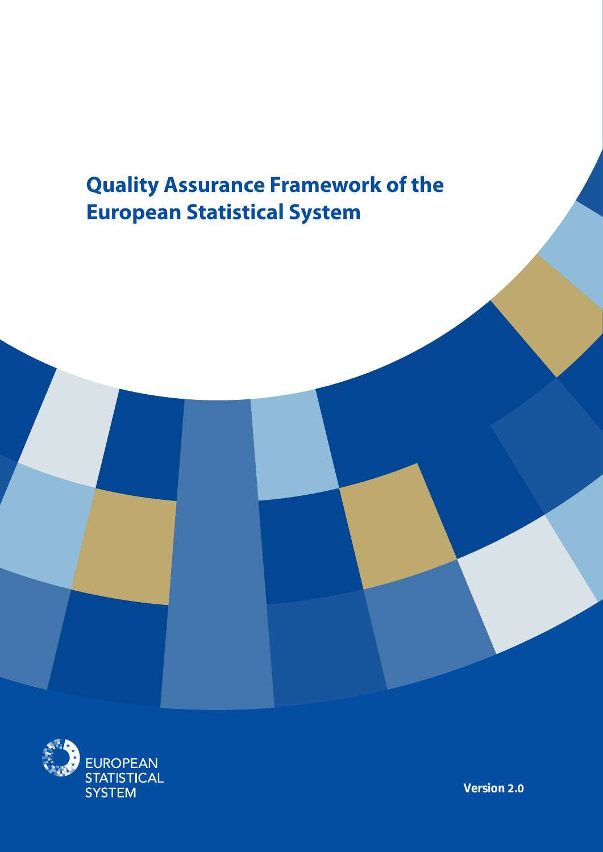# **Quality Assurance Framework of the European Statistical System**



**Version 2.0**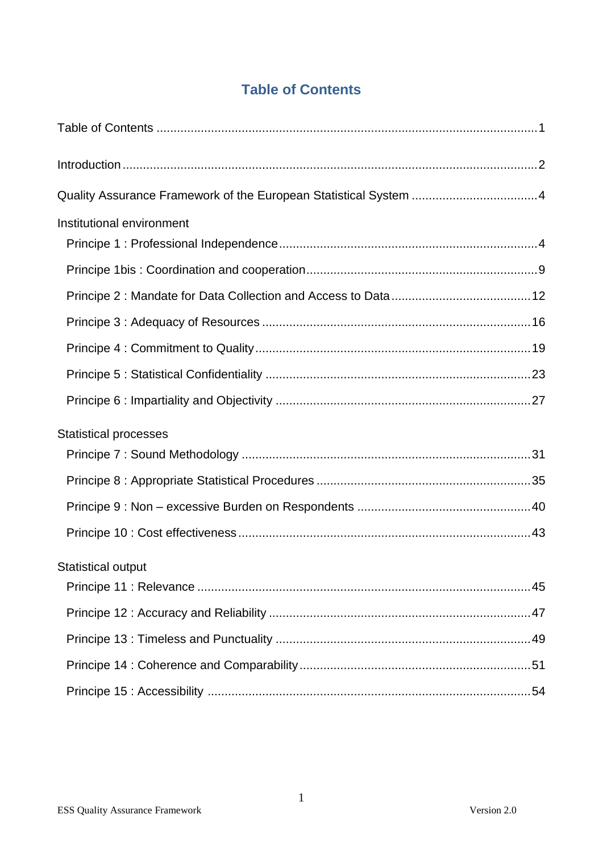# **Table of Contents**

| Institutional environment    |  |
|------------------------------|--|
|                              |  |
|                              |  |
|                              |  |
|                              |  |
|                              |  |
|                              |  |
| <b>Statistical processes</b> |  |
|                              |  |
|                              |  |
|                              |  |
|                              |  |
| <b>Statistical output</b>    |  |
|                              |  |
|                              |  |
|                              |  |
|                              |  |
|                              |  |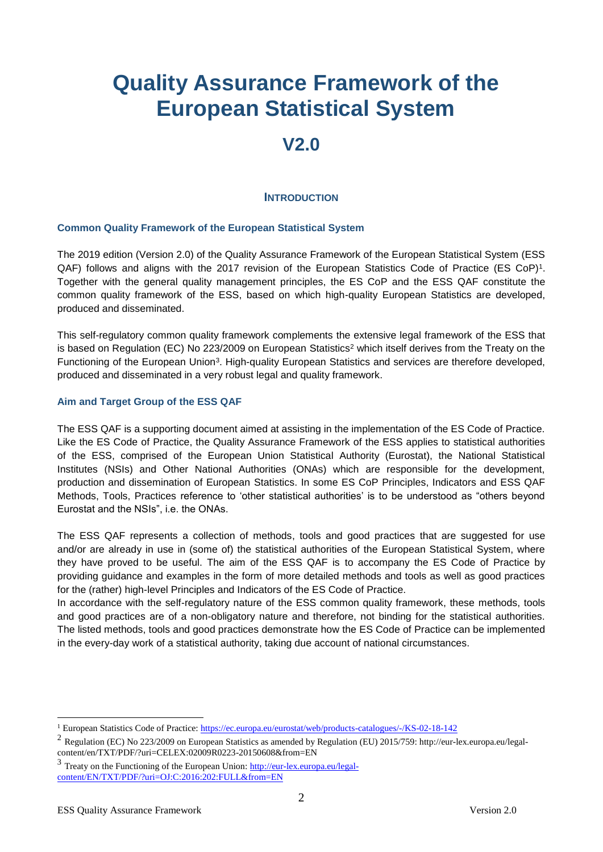# **Quality Assurance Framework of the European Statistical System**

# **V2.0**

#### **INTRODUCTION**

#### **Common Quality Framework of the European Statistical System**

The 2019 edition (Version 2.0) of the Quality Assurance Framework of the European Statistical System (ESS QAF) follows and aligns with the 2017 revision of the European Statistics Code of Practice (ES CoP)<sup>1</sup>. Together with the general quality management principles, the ES CoP and the ESS QAF constitute the common quality framework of the ESS, based on which high-quality European Statistics are developed, produced and disseminated.

This self-regulatory common quality framework complements the extensive legal framework of the ESS that is based on Regulation (EC) No 223/2009 on European Statistics<sup>2</sup> which itself derives from the Treaty on the Functioning of the European Union<sup>3</sup>. High-quality European Statistics and services are therefore developed, produced and disseminated in a very robust legal and quality framework.

#### **Aim and Target Group of the ESS QAF**

The ESS QAF is a supporting document aimed at assisting in the implementation of the ES Code of Practice. Like the ES Code of Practice, the Quality Assurance Framework of the ESS applies to statistical authorities of the ESS, comprised of the European Union Statistical Authority (Eurostat), the National Statistical Institutes (NSIs) and Other National Authorities (ONAs) which are responsible for the development, production and dissemination of European Statistics. In some ES CoP Principles, Indicators and ESS QAF Methods, Tools, Practices reference to 'other statistical authorities' is to be understood as "others beyond Eurostat and the NSIs", i.e. the ONAs.

The ESS QAF represents a collection of methods, tools and good practices that are suggested for use and/or are already in use in (some of) the statistical authorities of the European Statistical System, where they have proved to be useful. The aim of the ESS QAF is to accompany the ES Code of Practice by providing guidance and examples in the form of more detailed methods and tools as well as good practices for the (rather) high-level Principles and Indicators of the ES Code of Practice.

In accordance with the self-regulatory nature of the ESS common quality framework, these methods, tools and good practices are of a non-obligatory nature and therefore, not binding for the statistical authorities. The listed methods, tools and good practices demonstrate how the ES Code of Practice can be implemented in the every-day work of a statistical authority, taking due account of national circumstances.

<u>.</u>

<sup>1</sup> European Statistics Code of Practice:<https://ec.europa.eu/eurostat/web/products-catalogues/-/KS-02-18-142>

<sup>2</sup> Regulation (EC) No 223/2009 on European Statistics as amended by Regulation (EU) 2015/759: http://eur-lex.europa.eu/legalcontent/en/TXT/PDF/?uri=CELEX:02009R0223-20150608&from=EN

<sup>&</sup>lt;sup>3</sup> Treaty on the Functioning of the European Union[: http://eur-lex.europa.eu/legal](http://eur-lex.europa.eu/legal-content/EN/TXT/PDF/?uri=OJ:C:2016:202:FULL&from=EN)[content/EN/TXT/PDF/?uri=OJ:C:2016:202:FULL&from=EN](http://eur-lex.europa.eu/legal-content/EN/TXT/PDF/?uri=OJ:C:2016:202:FULL&from=EN)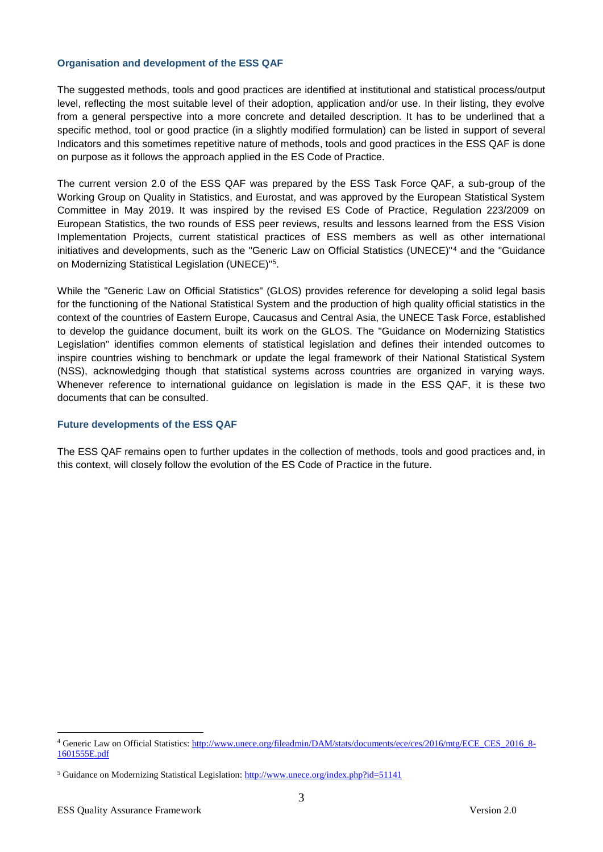#### **Organisation and development of the ESS QAF**

The suggested methods, tools and good practices are identified at institutional and statistical process/output level, reflecting the most suitable level of their adoption, application and/or use. In their listing, they evolve from a general perspective into a more concrete and detailed description. It has to be underlined that a specific method, tool or good practice (in a slightly modified formulation) can be listed in support of several Indicators and this sometimes repetitive nature of methods, tools and good practices in the ESS QAF is done on purpose as it follows the approach applied in the ES Code of Practice.

The current version 2.0 of the ESS QAF was prepared by the ESS Task Force QAF, a sub-group of the Working Group on Quality in Statistics, and Eurostat, and was approved by the European Statistical System Committee in May 2019. It was inspired by the revised ES Code of Practice, Regulation 223/2009 on European Statistics, the two rounds of ESS peer reviews, results and lessons learned from the ESS Vision Implementation Projects, current statistical practices of ESS members as well as other international initiatives and developments, such as the "Generic Law on Official Statistics (UNECE)"<sup>4</sup> and the "Guidance on Modernizing Statistical Legislation (UNECE)"<sup>5</sup> .

While the "Generic Law on Official Statistics" (GLOS) provides reference for developing a solid legal basis for the functioning of the National Statistical System and the production of high quality official statistics in the context of the countries of Eastern Europe, Caucasus and Central Asia, the UNECE Task Force, established to develop the guidance document, built its work on the GLOS. The "Guidance on Modernizing Statistics Legislation" identifies common elements of statistical legislation and defines their intended outcomes to inspire countries wishing to benchmark or update the legal framework of their National Statistical System (NSS), acknowledging though that statistical systems across countries are organized in varying ways. Whenever reference to international guidance on legislation is made in the ESS QAF, it is these two documents that can be consulted.

#### **Future developments of the ESS QAF**

The ESS QAF remains open to further updates in the collection of methods, tools and good practices and, in this context, will closely follow the evolution of the ES Code of Practice in the future.

1

<sup>4</sup> Generic Law on Official Statistics[: http://www.unece.org/fileadmin/DAM/stats/documents/ece/ces/2016/mtg/ECE\\_CES\\_2016\\_8-](http://www.unece.org/fileadmin/DAM/stats/documents/ece/ces/2016/mtg/ECE_CES_2016_8-1601555E.pdf) [1601555E.pdf](http://www.unece.org/fileadmin/DAM/stats/documents/ece/ces/2016/mtg/ECE_CES_2016_8-1601555E.pdf)

<sup>5</sup> Guidance on Modernizing Statistical Legislation[: http://www.unece.org/index.php?id=51141](http://www.unece.org/index.php?id=51141)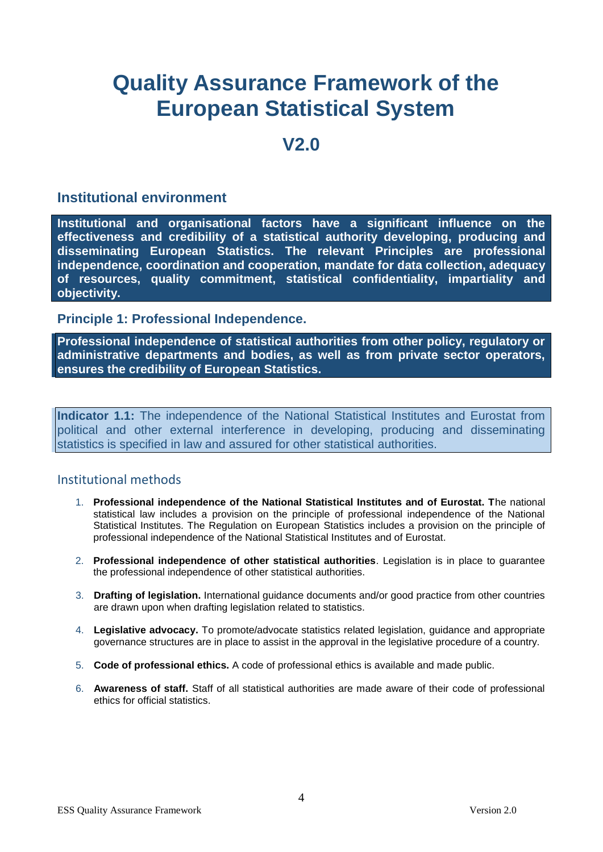# **Quality Assurance Framework of the European Statistical System**

# **V2.0**

# **Institutional environment**

**Institutional and organisational factors have a significant influence on the effectiveness and credibility of a statistical authority developing, producing and disseminating European Statistics. The relevant Principles are professional independence, coordination and cooperation, mandate for data collection, adequacy of resources, quality commitment, statistical confidentiality, impartiality and objectivity.**

**Principle 1: Professional Independence.**

**Professional independence of statistical authorities from other policy, regulatory or administrative departments and bodies, as well as from private sector operators, ensures the credibility of European Statistics.**

**Indicator 1.1:** The independence of the National Statistical Institutes and Eurostat from political and other external interference in developing, producing and disseminating statistics is specified in law and assured for other statistical authorities.

- 1. **Professional independence of the National Statistical Institutes and of Eurostat. T**he national statistical law includes a provision on the principle of professional independence of the National Statistical Institutes. The Regulation on European Statistics includes a provision on the principle of professional independence of the National Statistical Institutes and of Eurostat.
- 2. **Professional independence of other statistical authorities**. Legislation is in place to guarantee the professional independence of other statistical authorities.
- 3. **Drafting of legislation.** International guidance documents and/or good practice from other countries are drawn upon when drafting legislation related to statistics.
- 4. **Legislative advocacy.** To promote/advocate statistics related legislation, guidance and appropriate governance structures are in place to assist in the approval in the legislative procedure of a country.
- 5. **Code of professional ethics.** A code of professional ethics is available and made public.
- 6. **Awareness of staff.** Staff of all statistical authorities are made aware of their code of professional ethics for official statistics.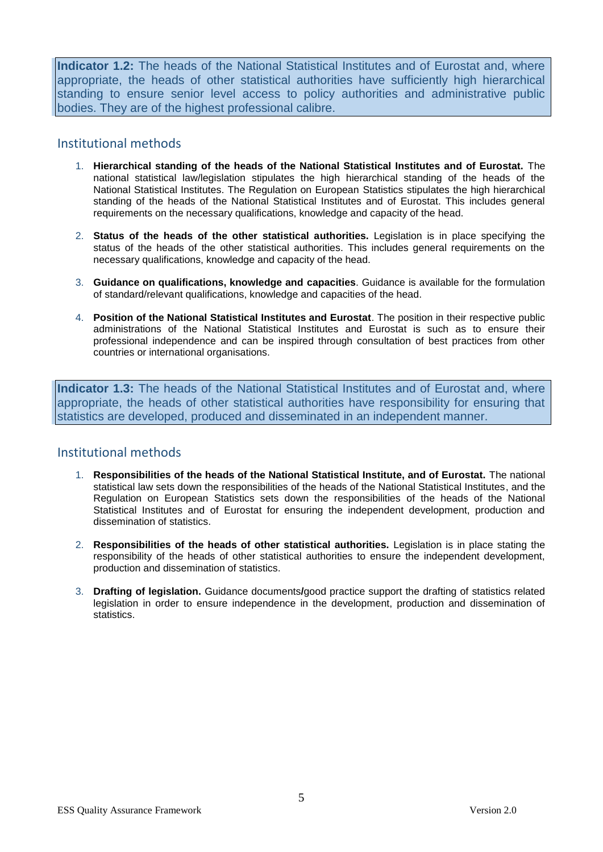**Indicator 1.2:** The heads of the National Statistical Institutes and of Eurostat and, where appropriate, the heads of other statistical authorities have sufficiently high hierarchical standing to ensure senior level access to policy authorities and administrative public bodies. They are of the highest professional calibre.

## Institutional methods

- 1. **Hierarchical standing of the heads of the National Statistical Institutes and of Eurostat.** The national statistical law/legislation stipulates the high hierarchical standing of the heads of the National Statistical Institutes. The Regulation on European Statistics stipulates the high hierarchical standing of the heads of the National Statistical Institutes and of Eurostat. This includes general requirements on the necessary qualifications, knowledge and capacity of the head.
- 2. **Status of the heads of the other statistical authorities.** Legislation is in place specifying the status of the heads of the other statistical authorities. This includes general requirements on the necessary qualifications, knowledge and capacity of the head.
- 3. **Guidance on qualifications, knowledge and capacities**. Guidance is available for the formulation of standard/relevant qualifications, knowledge and capacities of the head.
- 4. **Position of the National Statistical Institutes and Eurostat**. The position in their respective public administrations of the National Statistical Institutes and Eurostat is such as to ensure their professional independence and can be inspired through consultation of best practices from other countries or international organisations.

**Indicator 1.3:** The heads of the National Statistical Institutes and of Eurostat and, where appropriate, the heads of other statistical authorities have responsibility for ensuring that statistics are developed, produced and disseminated in an independent manner.

- 1. **Responsibilities of the heads of the National Statistical Institute, and of Eurostat.** The national statistical law sets down the responsibilities of the heads of the National Statistical Institutes, and the Regulation on European Statistics sets down the responsibilities of the heads of the National Statistical Institutes and of Eurostat for ensuring the independent development, production and dissemination of statistics.
- 2. **Responsibilities of the heads of other statistical authorities.** Legislation is in place stating the responsibility of the heads of other statistical authorities to ensure the independent development, production and dissemination of statistics.
- 3. **Drafting of legislation.** Guidance documents**/**good practice support the drafting of statistics related legislation in order to ensure independence in the development, production and dissemination of statistics.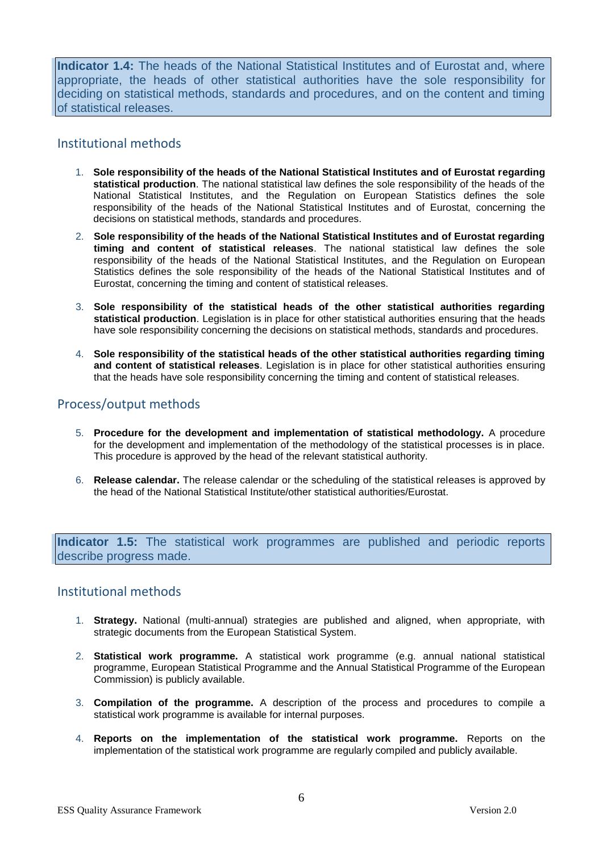**Indicator 1.4:** The heads of the National Statistical Institutes and of Eurostat and, where appropriate, the heads of other statistical authorities have the sole responsibility for deciding on statistical methods, standards and procedures, and on the content and timing of statistical releases.

# Institutional methods

- 1. **Sole responsibility of the heads of the National Statistical Institutes and of Eurostat regarding statistical production**. The national statistical law defines the sole responsibility of the heads of the National Statistical Institutes, and the Regulation on European Statistics defines the sole responsibility of the heads of the National Statistical Institutes and of Eurostat, concerning the decisions on statistical methods, standards and procedures.
- 2. **Sole responsibility of the heads of the National Statistical Institutes and of Eurostat regarding timing and content of statistical releases**. The national statistical law defines the sole responsibility of the heads of the National Statistical Institutes, and the Regulation on European Statistics defines the sole responsibility of the heads of the National Statistical Institutes and of Eurostat, concerning the timing and content of statistical releases.
- 3. **Sole responsibility of the statistical heads of the other statistical authorities regarding statistical production**. Legislation is in place for other statistical authorities ensuring that the heads have sole responsibility concerning the decisions on statistical methods, standards and procedures.
- 4. **Sole responsibility of the statistical heads of the other statistical authorities regarding timing and content of statistical releases**. Legislation is in place for other statistical authorities ensuring that the heads have sole responsibility concerning the timing and content of statistical releases.

# Process/output methods

- 5. **Procedure for the development and implementation of statistical methodology.** A procedure for the development and implementation of the methodology of the statistical processes is in place. This procedure is approved by the head of the relevant statistical authority.
- 6. **Release calendar.** The release calendar or the scheduling of the statistical releases is approved by the head of the National Statistical Institute/other statistical authorities/Eurostat.

**Indicator 1.5:** The statistical work programmes are published and periodic reports describe progress made.

- 1. **Strategy.** National (multi-annual) strategies are published and aligned, when appropriate, with strategic documents from the European Statistical System.
- 2. **Statistical work programme.** A statistical work programme (e.g. annual national statistical programme, European Statistical Programme and the Annual Statistical Programme of the European Commission) is publicly available.
- 3. **Compilation of the programme.** A description of the process and procedures to compile a statistical work programme is available for internal purposes.
- 4. **Reports on the implementation of the statistical work programme.** Reports on the implementation of the statistical work programme are regularly compiled and publicly available.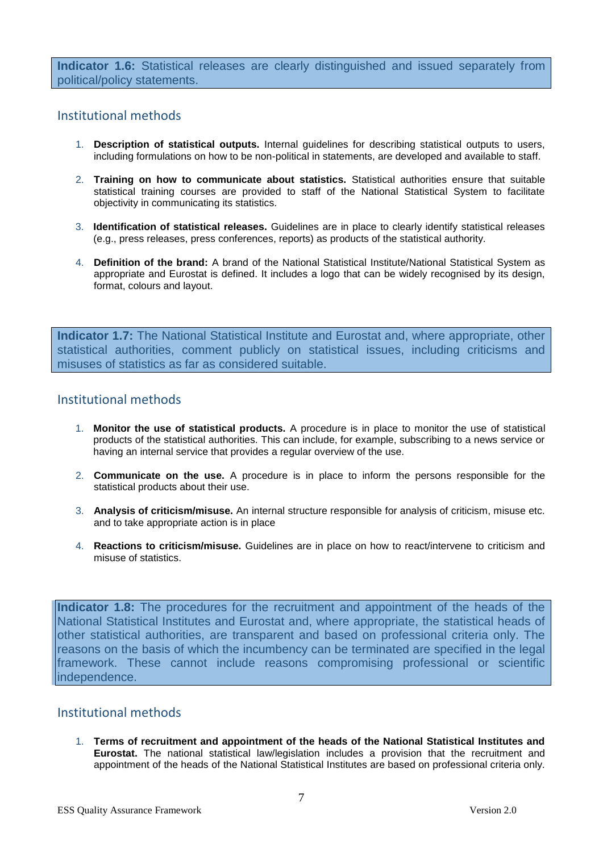**Indicator 1.6:** Statistical releases are clearly distinguished and issued separately from political/policy statements.

## Institutional methods

- 1. **Description of statistical outputs.** Internal guidelines for describing statistical outputs to users, including formulations on how to be non-political in statements, are developed and available to staff.
- 2. **Training on how to communicate about statistics.** Statistical authorities ensure that suitable statistical training courses are provided to staff of the National Statistical System to facilitate objectivity in communicating its statistics.
- 3. **Identification of statistical releases.** Guidelines are in place to clearly identify statistical releases (e.g., press releases, press conferences, reports) as products of the statistical authority.
- 4. **Definition of the brand:** A brand of the National Statistical Institute/National Statistical System as appropriate and Eurostat is defined. It includes a logo that can be widely recognised by its design, format, colours and layout.

**Indicator 1.7:** The National Statistical Institute and Eurostat and, where appropriate, other statistical authorities, comment publicly on statistical issues, including criticisms and misuses of statistics as far as considered suitable.

## Institutional methods

- 1. **Monitor the use of statistical products.** A procedure is in place to monitor the use of statistical products of the statistical authorities. This can include, for example, subscribing to a news service or having an internal service that provides a regular overview of the use.
- 2. **Communicate on the use.** A procedure is in place to inform the persons responsible for the statistical products about their use.
- 3. **Analysis of criticism/misuse.** An internal structure responsible for analysis of criticism, misuse etc. and to take appropriate action is in place
- 4. **Reactions to criticism/misuse.** Guidelines are in place on how to react/intervene to criticism and misuse of statistics.

**Indicator 1.8:** The procedures for the recruitment and appointment of the heads of the National Statistical Institutes and Eurostat and, where appropriate, the statistical heads of other statistical authorities, are transparent and based on professional criteria only. The reasons on the basis of which the incumbency can be terminated are specified in the legal framework. These cannot include reasons compromising professional or scientific independence.

## Institutional methods

1. **Terms of recruitment and appointment of the heads of the National Statistical Institutes and Eurostat.** The national statistical law/legislation includes a provision that the recruitment and appointment of the heads of the National Statistical Institutes are based on professional criteria only.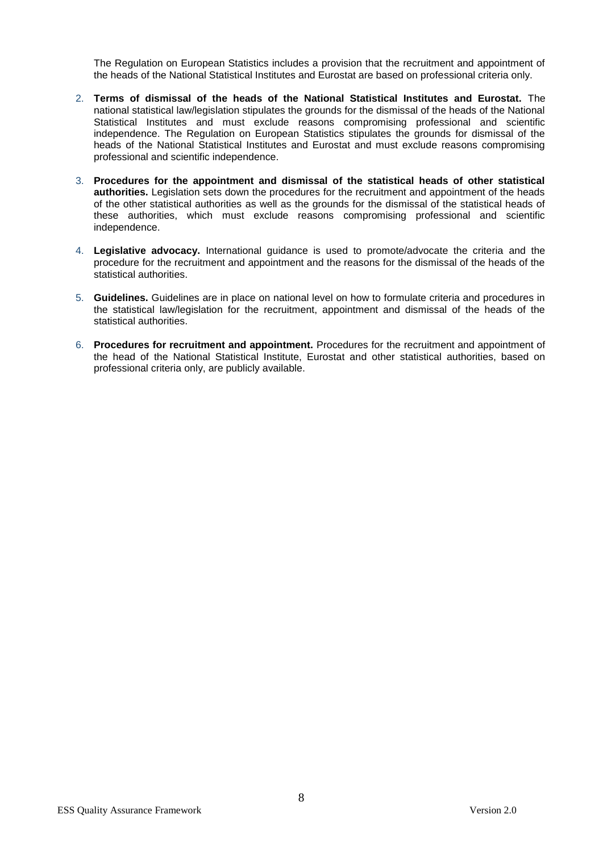The Regulation on European Statistics includes a provision that the recruitment and appointment of the heads of the National Statistical Institutes and Eurostat are based on professional criteria only.

- 2. **Terms of dismissal of the heads of the National Statistical Institutes and Eurostat.** The national statistical law/legislation stipulates the grounds for the dismissal of the heads of the National Statistical Institutes and must exclude reasons compromising professional and scientific independence. The Regulation on European Statistics stipulates the grounds for dismissal of the heads of the National Statistical Institutes and Eurostat and must exclude reasons compromising professional and scientific independence.
- 3. **Procedures for the appointment and dismissal of the statistical heads of other statistical authorities.** Legislation sets down the procedures for the recruitment and appointment of the heads of the other statistical authorities as well as the grounds for the dismissal of the statistical heads of these authorities, which must exclude reasons compromising professional and scientific independence.
- 4. **Legislative advocacy.** International guidance is used to promote/advocate the criteria and the procedure for the recruitment and appointment and the reasons for the dismissal of the heads of the statistical authorities.
- 5. **Guidelines.** Guidelines are in place on national level on how to formulate criteria and procedures in the statistical law/legislation for the recruitment, appointment and dismissal of the heads of the statistical authorities.
- 6. **Procedures for recruitment and appointment.** Procedures for the recruitment and appointment of the head of the National Statistical Institute, Eurostat and other statistical authorities, based on professional criteria only, are publicly available.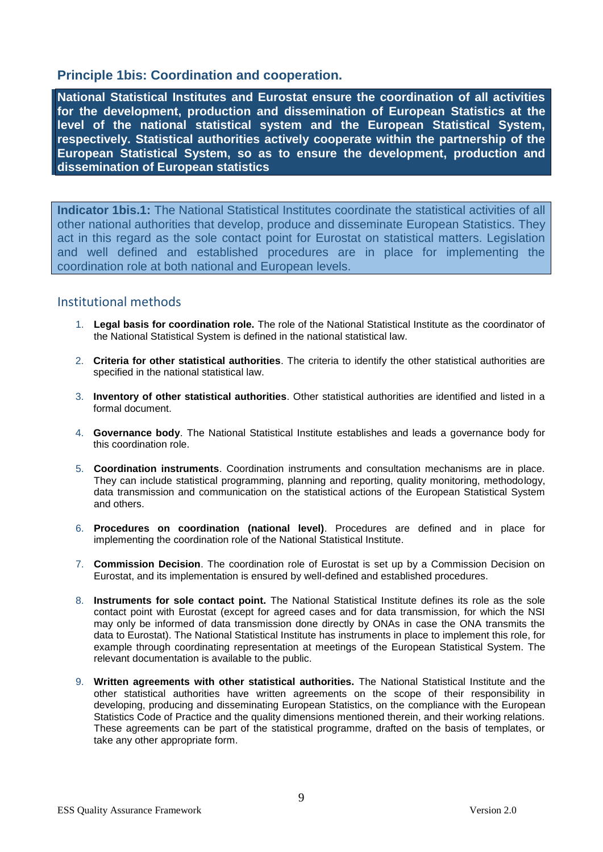# **Principle 1bis: Coordination and cooperation.**

**National Statistical Institutes and Eurostat ensure the coordination of all activities for the development, production and dissemination of European Statistics at the level of the national statistical system and the European Statistical System, respectively. Statistical authorities actively cooperate within the partnership of the European Statistical System, so as to ensure the development, production and dissemination of European statistics**

**Indicator 1bis.1:** The National Statistical Institutes coordinate the statistical activities of all other national authorities that develop, produce and disseminate European Statistics. They act in this regard as the sole contact point for Eurostat on statistical matters. Legislation and well defined and established procedures are in place for implementing the coordination role at both national and European levels.

- 1. **Legal basis for coordination role.** The role of the National Statistical Institute as the coordinator of the National Statistical System is defined in the national statistical law.
- 2. **Criteria for other statistical authorities**. The criteria to identify the other statistical authorities are specified in the national statistical law.
- 3. **Inventory of other statistical authorities**. Other statistical authorities are identified and listed in a formal document.
- 4. **Governance body**. The National Statistical Institute establishes and leads a governance body for this coordination role.
- 5. **Coordination instruments**. Coordination instruments and consultation mechanisms are in place. They can include statistical programming, planning and reporting, quality monitoring, methodology, data transmission and communication on the statistical actions of the European Statistical System and others.
- 6. **Procedures on coordination (national level)**. Procedures are defined and in place for implementing the coordination role of the National Statistical Institute.
- 7. **Commission Decision**. The coordination role of Eurostat is set up by a Commission Decision on Eurostat, and its implementation is ensured by well-defined and established procedures.
- 8. **Instruments for sole contact point.** The National Statistical Institute defines its role as the sole contact point with Eurostat (except for agreed cases and for data transmission, for which the NSI may only be informed of data transmission done directly by ONAs in case the ONA transmits the data to Eurostat). The National Statistical Institute has instruments in place to implement this role, for example through coordinating representation at meetings of the European Statistical System. The relevant documentation is available to the public.
- 9. **Written agreements with other statistical authorities.** The National Statistical Institute and the other statistical authorities have written agreements on the scope of their responsibility in developing, producing and disseminating European Statistics, on the compliance with the European Statistics Code of Practice and the quality dimensions mentioned therein, and their working relations. These agreements can be part of the statistical programme, drafted on the basis of templates, or take any other appropriate form.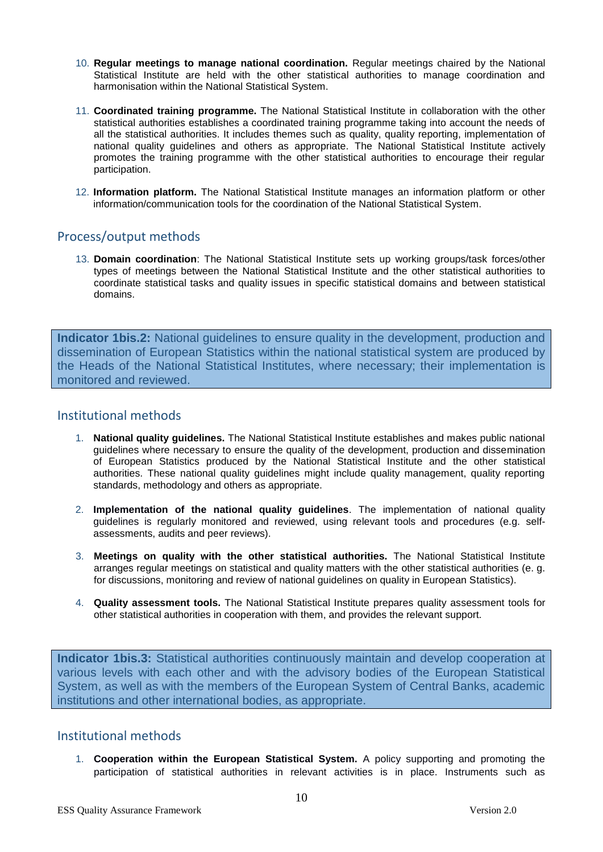- 10. **Regular meetings to manage national coordination.** Regular meetings chaired by the National Statistical Institute are held with the other statistical authorities to manage coordination and harmonisation within the National Statistical System.
- 11. **Coordinated training programme.** The National Statistical Institute in collaboration with the other statistical authorities establishes a coordinated training programme taking into account the needs of all the statistical authorities. It includes themes such as quality, quality reporting, implementation of national quality guidelines and others as appropriate. The National Statistical Institute actively promotes the training programme with the other statistical authorities to encourage their regular participation.
- 12. **Information platform.** The National Statistical Institute manages an information platform or other information/communication tools for the coordination of the National Statistical System.

## Process/output methods

13. **Domain coordination**: The National Statistical Institute sets up working groups/task forces/other types of meetings between the National Statistical Institute and the other statistical authorities to coordinate statistical tasks and quality issues in specific statistical domains and between statistical domains.

**Indicator 1bis.2:** National guidelines to ensure quality in the development, production and dissemination of European Statistics within the national statistical system are produced by the Heads of the National Statistical Institutes, where necessary; their implementation is monitored and reviewed.

# Institutional methods

- 1. **National quality guidelines.** The National Statistical Institute establishes and makes public national guidelines where necessary to ensure the quality of the development, production and dissemination of European Statistics produced by the National Statistical Institute and the other statistical authorities. These national quality guidelines might include quality management, quality reporting standards, methodology and others as appropriate.
- 2. **Implementation of the national quality guidelines**. The implementation of national quality guidelines is regularly monitored and reviewed, using relevant tools and procedures (e.g. selfassessments, audits and peer reviews).
- 3. **Meetings on quality with the other statistical authorities.** The National Statistical Institute arranges regular meetings on statistical and quality matters with the other statistical authorities (e. g. for discussions, monitoring and review of national guidelines on quality in European Statistics).
- 4. **Quality assessment tools.** The National Statistical Institute prepares quality assessment tools for other statistical authorities in cooperation with them, and provides the relevant support.

**Indicator 1bis.3:** Statistical authorities continuously maintain and develop cooperation at various levels with each other and with the advisory bodies of the European Statistical System, as well as with the members of the European System of Central Banks, academic institutions and other international bodies, as appropriate.

### Institutional methods

1. **Cooperation within the European Statistical System.** A policy supporting and promoting the participation of statistical authorities in relevant activities is in place. Instruments such as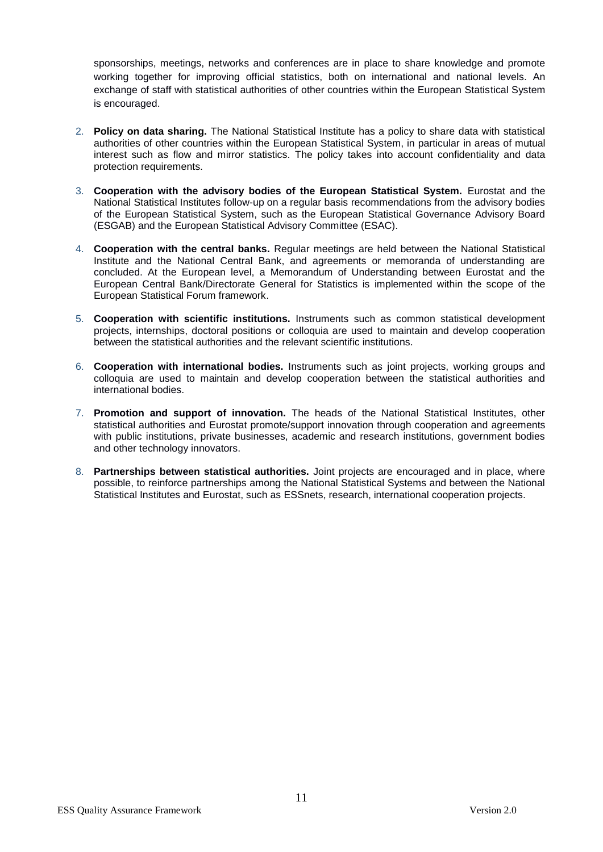sponsorships, meetings, networks and conferences are in place to share knowledge and promote working together for improving official statistics, both on international and national levels. An exchange of staff with statistical authorities of other countries within the European Statistical System is encouraged.

- 2. **Policy on data sharing.** The National Statistical Institute has a policy to share data with statistical authorities of other countries within the European Statistical System, in particular in areas of mutual interest such as flow and mirror statistics. The policy takes into account confidentiality and data protection requirements.
- 3. **Cooperation with the advisory bodies of the European Statistical System.** Eurostat and the National Statistical Institutes follow-up on a regular basis recommendations from the advisory bodies of the European Statistical System, such as the European Statistical Governance Advisory Board (ESGAB) and the European Statistical Advisory Committee (ESAC).
- 4. **Cooperation with the central banks.** Regular meetings are held between the National Statistical Institute and the National Central Bank, and agreements or memoranda of understanding are concluded. At the European level, a Memorandum of Understanding between Eurostat and the European Central Bank/Directorate General for Statistics is implemented within the scope of the European Statistical Forum framework.
- 5. **Cooperation with scientific institutions.** Instruments such as common statistical development projects, internships, doctoral positions or colloquia are used to maintain and develop cooperation between the statistical authorities and the relevant scientific institutions.
- 6. **Cooperation with international bodies.** Instruments such as joint projects, working groups and colloquia are used to maintain and develop cooperation between the statistical authorities and international bodies.
- 7. **Promotion and support of innovation.** The heads of the National Statistical Institutes, other statistical authorities and Eurostat promote/support innovation through cooperation and agreements with public institutions, private businesses, academic and research institutions, government bodies and other technology innovators.
- 8. **Partnerships between statistical authorities.** Joint projects are encouraged and in place, where possible, to reinforce partnerships among the National Statistical Systems and between the National Statistical Institutes and Eurostat, such as ESSnets, research, international cooperation projects.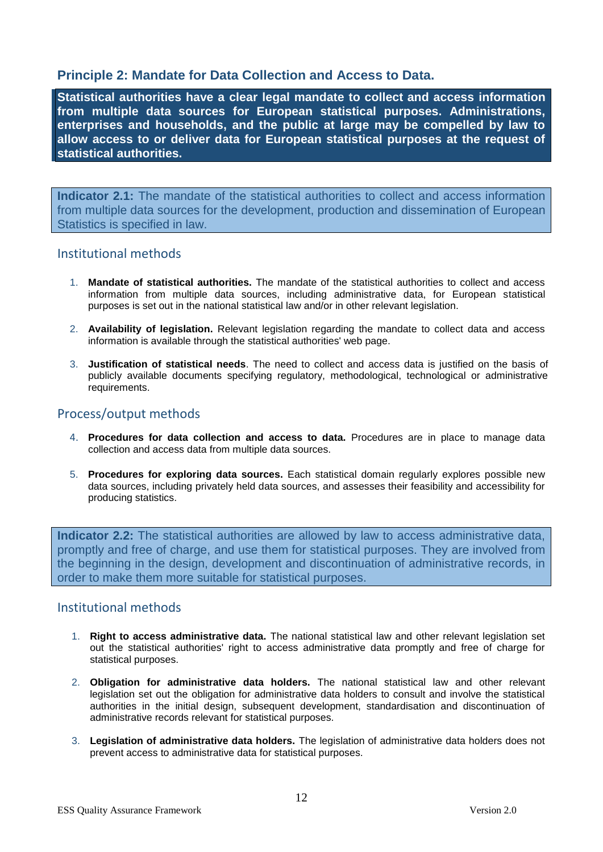# **Principle 2: Mandate for Data Collection and Access to Data.**

**Statistical authorities have a clear legal mandate to collect and access information from multiple data sources for European statistical purposes. Administrations, enterprises and households, and the public at large may be compelled by law to allow access to or deliver data for European statistical purposes at the request of statistical authorities.** 

**Indicator 2.1:** The mandate of the statistical authorities to collect and access information from multiple data sources for the development, production and dissemination of European Statistics is specified in law.

## Institutional methods

- 1. **Mandate of statistical authorities.** The mandate of the statistical authorities to collect and access information from multiple data sources, including administrative data, for European statistical purposes is set out in the national statistical law and/or in other relevant legislation.
- 2. **Availability of legislation.** Relevant legislation regarding the mandate to collect data and access information is available through the statistical authorities' web page.
- 3. **Justification of statistical needs**. The need to collect and access data is justified on the basis of publicly available documents specifying regulatory, methodological, technological or administrative requirements.

# Process/output methods

- 4. **Procedures for data collection and access to data.** Procedures are in place to manage data collection and access data from multiple data sources.
- 5. **Procedures for exploring data sources.** Each statistical domain regularly explores possible new data sources, including privately held data sources, and assesses their feasibility and accessibility for producing statistics.

**Indicator 2.2:** The statistical authorities are allowed by law to access administrative data, promptly and free of charge, and use them for statistical purposes. They are involved from the beginning in the design, development and discontinuation of administrative records, in order to make them more suitable for statistical purposes.

- 1. **Right to access administrative data.** The national statistical law and other relevant legislation set out the statistical authorities' right to access administrative data promptly and free of charge for statistical purposes.
- 2. **Obligation for administrative data holders.** The national statistical law and other relevant legislation set out the obligation for administrative data holders to consult and involve the statistical authorities in the initial design, subsequent development, standardisation and discontinuation of administrative records relevant for statistical purposes.
- 3. **Legislation of administrative data holders.** The legislation of administrative data holders does not prevent access to administrative data for statistical purposes.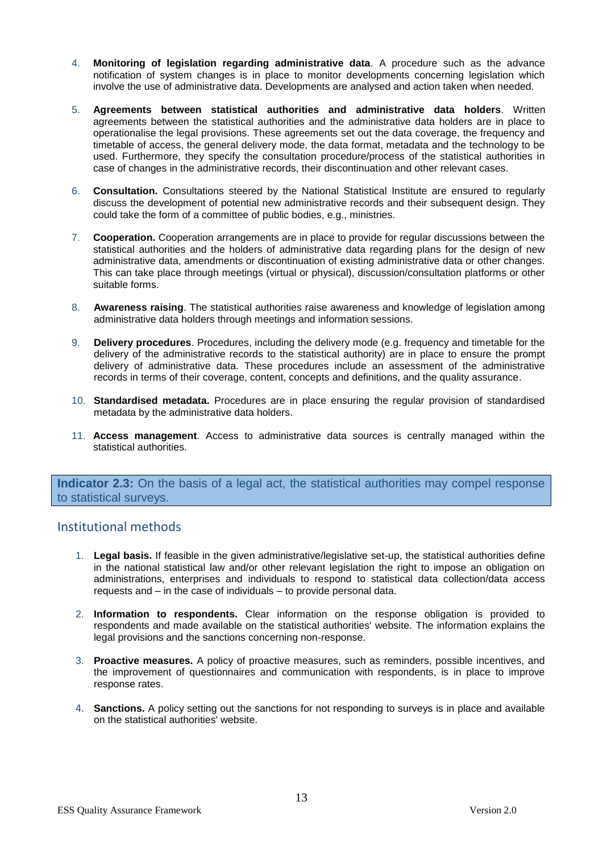- 4. **Monitoring of legislation regarding administrative data**. A procedure such as the advance notification of system changes is in place to monitor developments concerning legislation which involve the use of administrative data. Developments are analysed and action taken when needed.
- 5. **Agreements between statistical authorities and administrative data holders**. Written agreements between the statistical authorities and the administrative data holders are in place to operationalise the legal provisions. These agreements set out the data coverage, the frequency and timetable of access, the general delivery mode, the data format, metadata and the technology to be used. Furthermore, they specify the consultation procedure/process of the statistical authorities in case of changes in the administrative records, their discontinuation and other relevant cases.
- 6. **Consultation.** Consultations steered by the National Statistical Institute are ensured to regularly discuss the development of potential new administrative records and their subsequent design. They could take the form of a committee of public bodies, e.g., ministries.
- 7. **Cooperation.** Cooperation arrangements are in place to provide for regular discussions between the statistical authorities and the holders of administrative data regarding plans for the design of new administrative data, amendments or discontinuation of existing administrative data or other changes. This can take place through meetings (virtual or physical), discussion/consultation platforms or other suitable forms.
- 8. **Awareness raising**. The statistical authorities raise awareness and knowledge of legislation among administrative data holders through meetings and information sessions.
- 9. **Delivery procedures**. Procedures, including the delivery mode (e.g. frequency and timetable for the delivery of the administrative records to the statistical authority) are in place to ensure the prompt delivery of administrative data. These procedures include an assessment of the administrative records in terms of their coverage, content, concepts and definitions, and the quality assurance.
- 10. **Standardised metadata.** Procedures are in place ensuring the regular provision of standardised metadata by the administrative data holders.
- 11. **Access management**. Access to administrative data sources is centrally managed within the statistical authorities.

**Indicator 2.3:** On the basis of a legal act, the statistical authorities may compel response to statistical surveys.

- 1. **Legal basis.** If feasible in the given administrative/legislative set-up, the statistical authorities define in the national statistical law and/or other relevant legislation the right to impose an obligation on administrations, enterprises and individuals to respond to statistical data collection/data access requests and – in the case of individuals – to provide personal data.
- 2. **Information to respondents.** Clear information on the response obligation is provided to respondents and made available on the statistical authorities' website. The information explains the legal provisions and the sanctions concerning non-response.
- 3. **Proactive measures.** A policy of proactive measures, such as reminders, possible incentives, and the improvement of questionnaires and communication with respondents, is in place to improve response rates.
- 4. **Sanctions.** A policy setting out the sanctions for not responding to surveys is in place and available on the statistical authorities' website.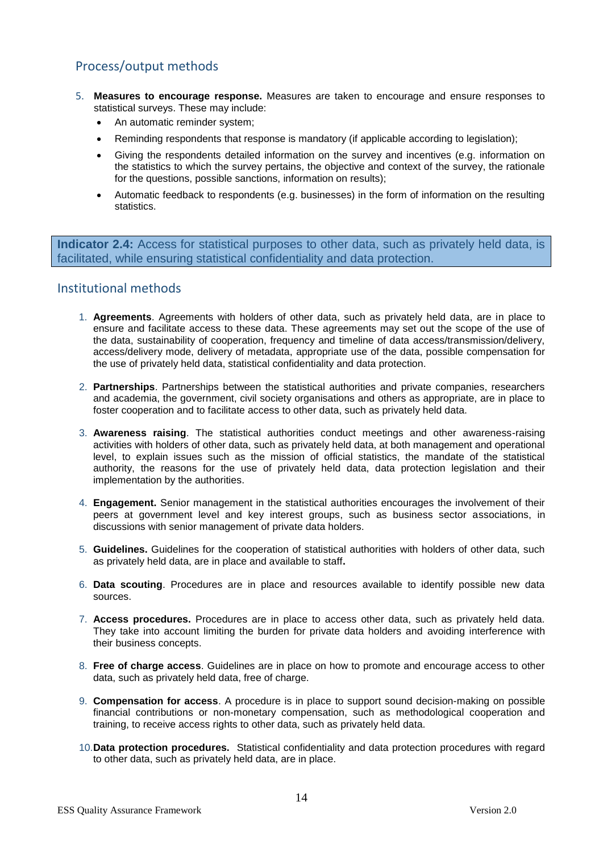# Process/output methods

- 5. **Measures to encourage response.** Measures are taken to encourage and ensure responses to statistical surveys. These may include:
	- An automatic reminder system;
	- Reminding respondents that response is mandatory (if applicable according to legislation);
	- Giving the respondents detailed information on the survey and incentives (e.g. information on the statistics to which the survey pertains, the objective and context of the survey, the rationale for the questions, possible sanctions, information on results);
	- Automatic feedback to respondents (e.g. businesses) in the form of information on the resulting statistics.

**Indicator 2.4:** Access for statistical purposes to other data, such as privately held data, is facilitated, while ensuring statistical confidentiality and data protection.

- 1. **Agreements**. Agreements with holders of other data, such as privately held data, are in place to ensure and facilitate access to these data. These agreements may set out the scope of the use of the data, sustainability of cooperation, frequency and timeline of data access/transmission/delivery, access/delivery mode, delivery of metadata, appropriate use of the data, possible compensation for the use of privately held data, statistical confidentiality and data protection.
- 2. **Partnerships**. Partnerships between the statistical authorities and private companies, researchers and academia, the government, civil society organisations and others as appropriate, are in place to foster cooperation and to facilitate access to other data, such as privately held data.
- 3. **Awareness raising**. The statistical authorities conduct meetings and other awareness-raising activities with holders of other data, such as privately held data, at both management and operational level, to explain issues such as the mission of official statistics, the mandate of the statistical authority, the reasons for the use of privately held data, data protection legislation and their implementation by the authorities.
- 4. **Engagement.** Senior management in the statistical authorities encourages the involvement of their peers at government level and key interest groups, such as business sector associations, in discussions with senior management of private data holders.
- 5. **Guidelines.** Guidelines for the cooperation of statistical authorities with holders of other data, such as privately held data, are in place and available to staff**.**
- 6. **Data scouting**. Procedures are in place and resources available to identify possible new data sources.
- 7. **Access procedures.** Procedures are in place to access other data, such as privately held data. They take into account limiting the burden for private data holders and avoiding interference with their business concepts.
- 8. **Free of charge access**. Guidelines are in place on how to promote and encourage access to other data, such as privately held data, free of charge.
- 9. **Compensation for access**. A procedure is in place to support sound decision-making on possible financial contributions or non-monetary compensation, such as methodological cooperation and training, to receive access rights to other data, such as privately held data.
- 10.**Data protection procedures.** Statistical confidentiality and data protection procedures with regard to other data, such as privately held data, are in place.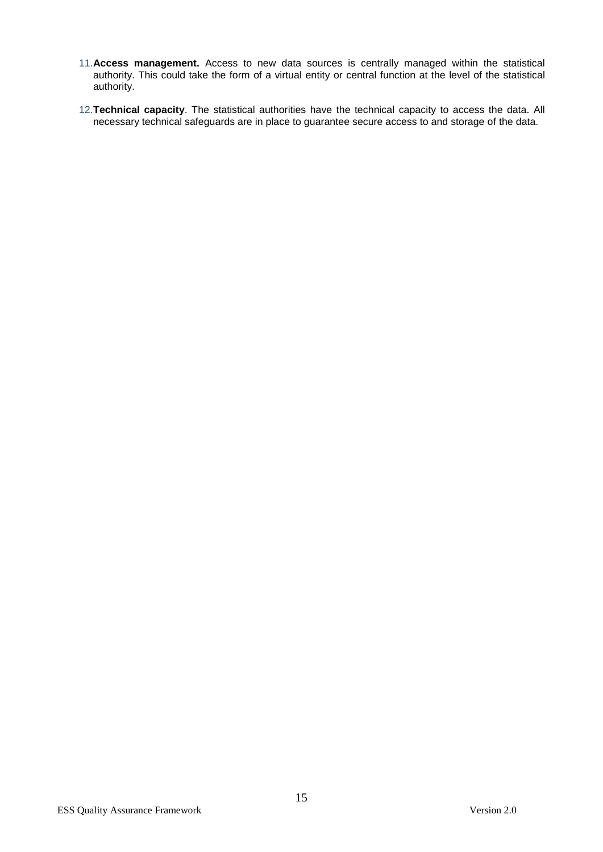- 11.**Access management.** Access to new data sources is centrally managed within the statistical authority. This could take the form of a virtual entity or central function at the level of the statistical authority.
- 12.**Technical capacity**. The statistical authorities have the technical capacity to access the data. All necessary technical safeguards are in place to guarantee secure access to and storage of the data.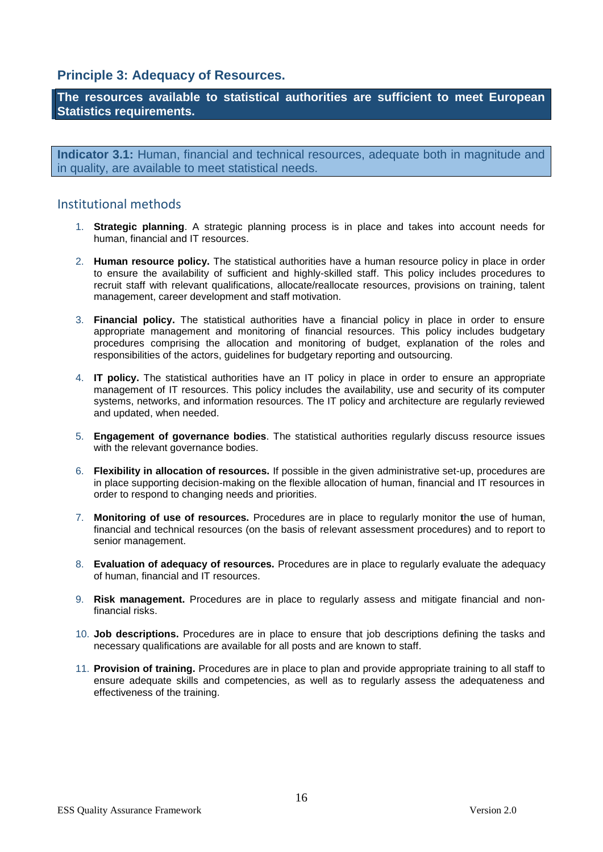# **Principle 3: Adequacy of Resources.**

**The resources available to statistical authorities are sufficient to meet European Statistics requirements.** 

**Indicator 3.1:** Human, financial and technical resources, adequate both in magnitude and in quality, are available to meet statistical needs.

- 1. **Strategic planning**. A strategic planning process is in place and takes into account needs for human, financial and IT resources.
- 2. **Human resource policy.** The statistical authorities have a human resource policy in place in order to ensure the availability of sufficient and highly-skilled staff. This policy includes procedures to recruit staff with relevant qualifications, allocate/reallocate resources, provisions on training, talent management, career development and staff motivation.
- 3. **Financial policy.** The statistical authorities have a financial policy in place in order to ensure appropriate management and monitoring of financial resources. This policy includes budgetary procedures comprising the allocation and monitoring of budget, explanation of the roles and responsibilities of the actors, guidelines for budgetary reporting and outsourcing.
- 4. **IT policy.** The statistical authorities have an IT policy in place in order to ensure an appropriate management of IT resources. This policy includes the availability, use and security of its computer systems, networks, and information resources. The IT policy and architecture are regularly reviewed and updated, when needed.
- 5. **Engagement of governance bodies**. The statistical authorities regularly discuss resource issues with the relevant governance bodies.
- 6. **Flexibility in allocation of resources.** If possible in the given administrative set-up, procedures are in place supporting decision-making on the flexible allocation of human, financial and IT resources in order to respond to changing needs and priorities.
- 7. **Monitoring of use of resources.** Procedures are in place to regularly monitor **t**he use of human, financial and technical resources (on the basis of relevant assessment procedures) and to report to senior management.
- 8. **Evaluation of adequacy of resources.** Procedures are in place to regularly evaluate the adequacy of human, financial and IT resources.
- 9. **Risk management.** Procedures are in place to regularly assess and mitigate financial and nonfinancial risks.
- 10. **Job descriptions.** Procedures are in place to ensure that job descriptions defining the tasks and necessary qualifications are available for all posts and are known to staff.
- 11. **Provision of training.** Procedures are in place to plan and provide appropriate training to all staff to ensure adequate skills and competencies, as well as to regularly assess the adequateness and effectiveness of the training.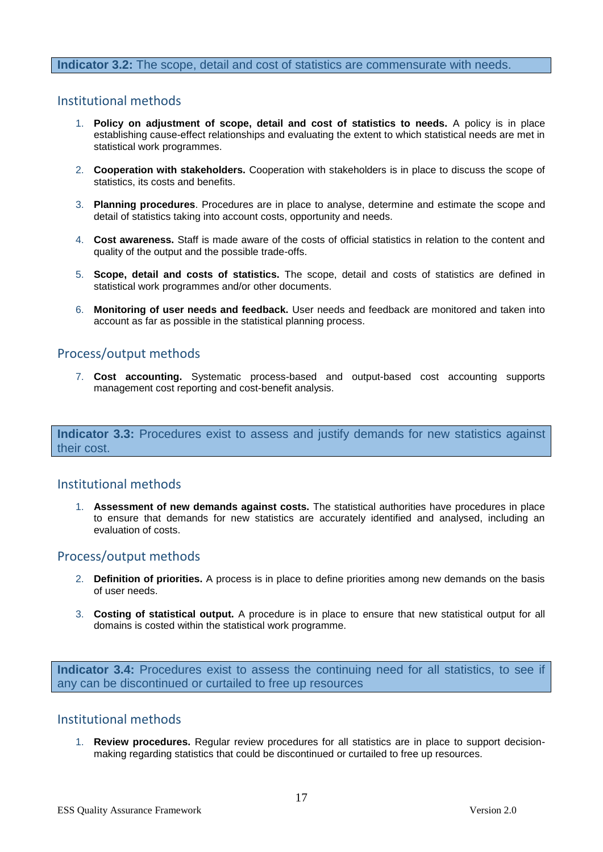#### **Indicator 3.2:** The scope, detail and cost of statistics are commensurate with needs.

#### Institutional methods

- 1. **Policy on adjustment of scope, detail and cost of statistics to needs.** A policy is in place establishing cause-effect relationships and evaluating the extent to which statistical needs are met in statistical work programmes.
- 2. **Cooperation with stakeholders.** Cooperation with stakeholders is in place to discuss the scope of statistics, its costs and benefits.
- 3. **Planning procedures**. Procedures are in place to analyse, determine and estimate the scope and detail of statistics taking into account costs, opportunity and needs.
- 4. **Cost awareness.** Staff is made aware of the costs of official statistics in relation to the content and quality of the output and the possible trade-offs.
- 5. **Scope, detail and costs of statistics.** The scope, detail and costs of statistics are defined in statistical work programmes and/or other documents.
- 6. **Monitoring of user needs and feedback.** User needs and feedback are monitored and taken into account as far as possible in the statistical planning process.

# Process/output methods

7. **Cost accounting.** Systematic process-based and output-based cost accounting supports management cost reporting and cost-benefit analysis.

**Indicator 3.3:** Procedures exist to assess and justify demands for new statistics against their cost.

# Institutional methods

1. **Assessment of new demands against costs.** The statistical authorities have procedures in place to ensure that demands for new statistics are accurately identified and analysed, including an evaluation of costs.

#### Process/output methods

- 2. **Definition of priorities.** A process is in place to define priorities among new demands on the basis of user needs.
- 3. **Costing of statistical output.** A procedure is in place to ensure that new statistical output for all domains is costed within the statistical work programme.

**Indicator 3.4:** Procedures exist to assess the continuing need for all statistics, to see if any can be discontinued or curtailed to free up resources

#### Institutional methods

1. **Review procedures.** Regular review procedures for all statistics are in place to support decisionmaking regarding statistics that could be discontinued or curtailed to free up resources.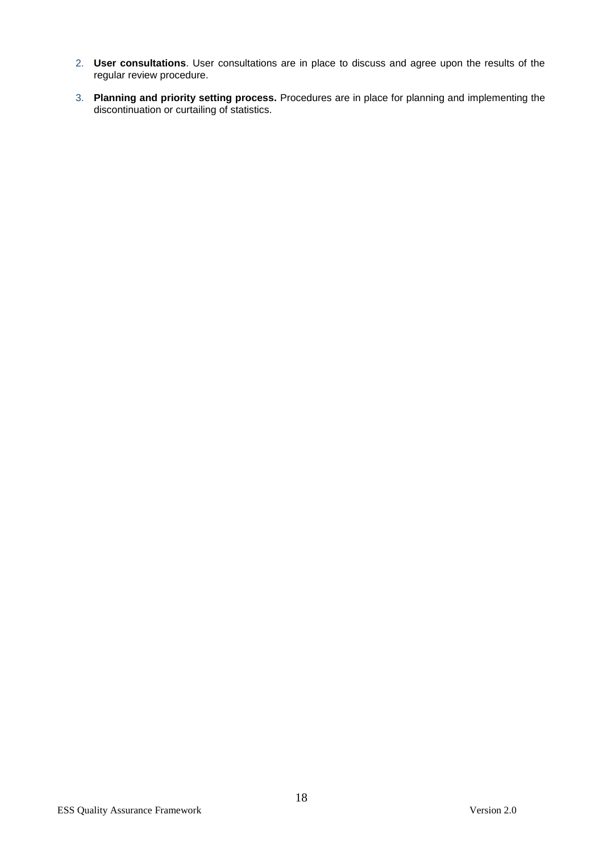- 2. **User consultations**. User consultations are in place to discuss and agree upon the results of the regular review procedure.
- 3. **Planning and priority setting process.** Procedures are in place for planning and implementing the discontinuation or curtailing of statistics.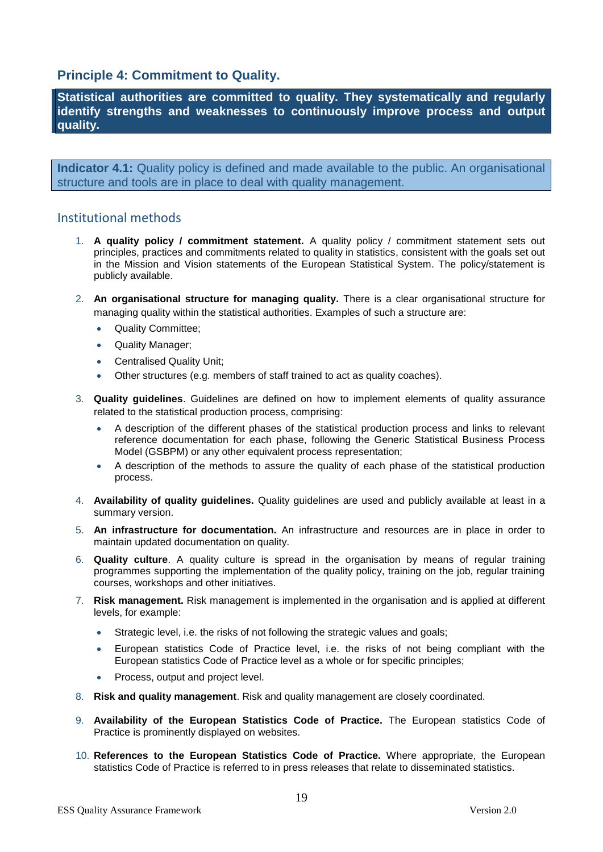# **Principle 4: Commitment to Quality.**

**Statistical authorities are committed to quality. They systematically and regularly identify strengths and weaknesses to continuously improve process and output quality.**

**Indicator 4.1:** Quality policy is defined and made available to the public. An organisational structure and tools are in place to deal with quality management.

- 1. **A quality policy / commitment statement.** A quality policy / commitment statement sets out principles, practices and commitments related to quality in statistics, consistent with the goals set out in the Mission and Vision statements of the European Statistical System. The policy/statement is publicly available.
- 2. **An organisational structure for managing quality.** There is a clear organisational structure for managing quality within the statistical authorities. Examples of such a structure are:
	- Quality Committee;
	- Quality Manager;
	- Centralised Quality Unit;
	- Other structures (e.g. members of staff trained to act as quality coaches).
- 3. **Quality guidelines**. Guidelines are defined on how to implement elements of quality assurance related to the statistical production process, comprising:
	- A description of the different phases of the statistical production process and links to relevant reference documentation for each phase, following the Generic Statistical Business Process Model (GSBPM) or any other equivalent process representation;
	- A description of the methods to assure the quality of each phase of the statistical production process.
- 4. **Availability of quality guidelines.** Quality guidelines are used and publicly available at least in a summary version.
- 5. **An infrastructure for documentation.** An infrastructure and resources are in place in order to maintain updated documentation on quality.
- 6. **Quality culture**. A quality culture is spread in the organisation by means of regular training programmes supporting the implementation of the quality policy, training on the job, regular training courses, workshops and other initiatives.
- 7. **Risk management.** Risk management is implemented in the organisation and is applied at different levels, for example:
	- Strategic level, i.e. the risks of not following the strategic values and goals;
	- European statistics Code of Practice level, i.e. the risks of not being compliant with the European statistics Code of Practice level as a whole or for specific principles;
	- Process, output and project level.
- 8. **Risk and quality management**. Risk and quality management are closely coordinated.
- 9. **Availability of the European Statistics Code of Practice.** The European statistics Code of Practice is prominently displayed on websites.
- 10. **References to the European Statistics Code of Practice.** Where appropriate, the European statistics Code of Practice is referred to in press releases that relate to disseminated statistics.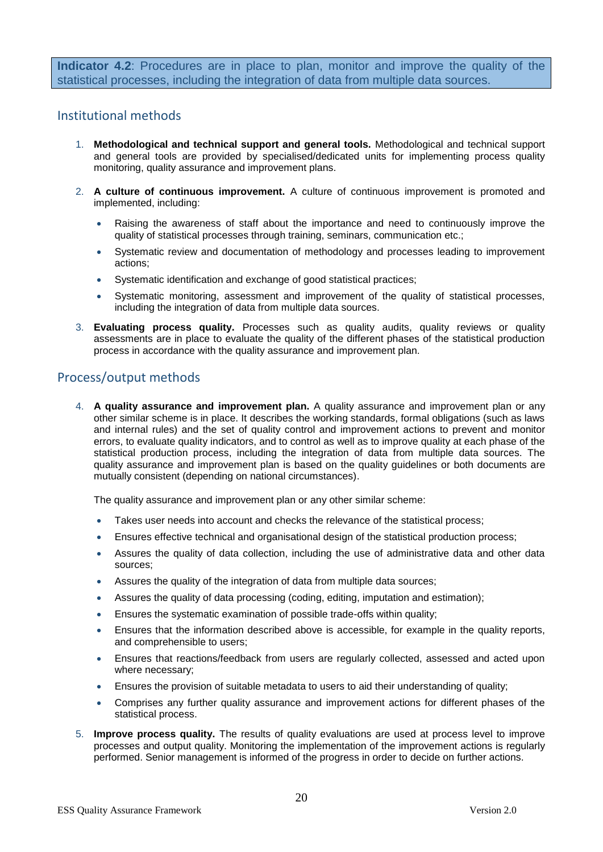**Indicator 4.2**: Procedures are in place to plan, monitor and improve the quality of the statistical processes, including the integration of data from multiple data sources.

## Institutional methods

- 1. **Methodological and technical support and general tools.** Methodological and technical support and general tools are provided by specialised/dedicated units for implementing process quality monitoring, quality assurance and improvement plans.
- 2. **A culture of continuous improvement.** A culture of continuous improvement is promoted and implemented, including:
	- Raising the awareness of staff about the importance and need to continuously improve the quality of statistical processes through training, seminars, communication etc.;
	- Systematic review and documentation of methodology and processes leading to improvement actions;
	- Systematic identification and exchange of good statistical practices;
	- Systematic monitoring, assessment and improvement of the quality of statistical processes, including the integration of data from multiple data sources.
- 3. **Evaluating process quality.** Processes such as quality audits, quality reviews or quality assessments are in place to evaluate the quality of the different phases of the statistical production process in accordance with the quality assurance and improvement plan.

# Process/output methods

4. **A quality assurance and improvement plan.** A quality assurance and improvement plan or any other similar scheme is in place. It describes the working standards, formal obligations (such as laws and internal rules) and the set of quality control and improvement actions to prevent and monitor errors, to evaluate quality indicators, and to control as well as to improve quality at each phase of the statistical production process, including the integration of data from multiple data sources. The quality assurance and improvement plan is based on the quality guidelines or both documents are mutually consistent (depending on national circumstances).

The quality assurance and improvement plan or any other similar scheme:

- Takes user needs into account and checks the relevance of the statistical process;
- Ensures effective technical and organisational design of the statistical production process;
- Assures the quality of data collection, including the use of administrative data and other data sources;
- Assures the quality of the integration of data from multiple data sources;
- Assures the quality of data processing (coding, editing, imputation and estimation);
- Ensures the systematic examination of possible trade-offs within quality;
- Ensures that the information described above is accessible, for example in the quality reports, and comprehensible to users;
- Ensures that reactions/feedback from users are regularly collected, assessed and acted upon where necessary;
- Ensures the provision of suitable metadata to users to aid their understanding of quality;
- Comprises any further quality assurance and improvement actions for different phases of the statistical process.
- 5. **Improve process quality.** The results of quality evaluations are used at process level to improve processes and output quality. Monitoring the implementation of the improvement actions is regularly performed. Senior management is informed of the progress in order to decide on further actions.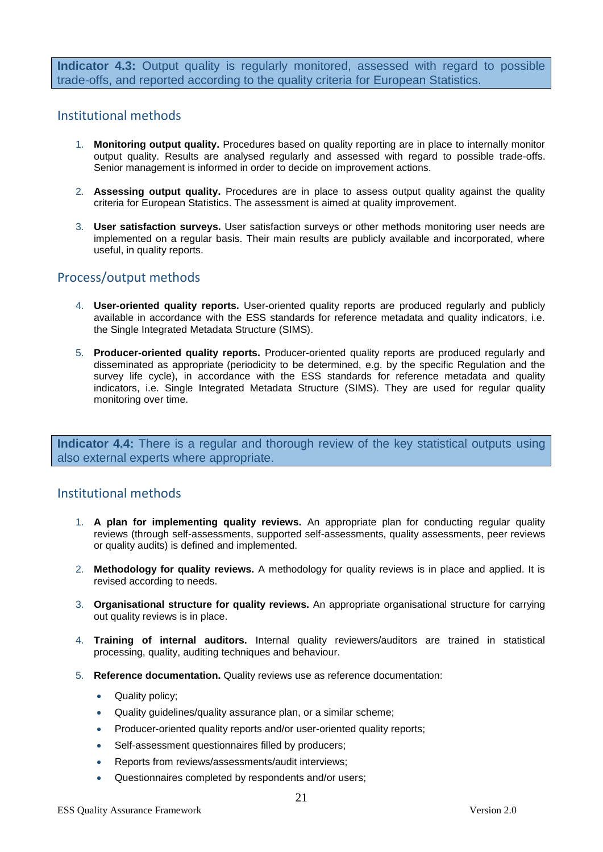**Indicator 4.3:** Output quality is regularly monitored, assessed with regard to possible trade-offs, and reported according to the quality criteria for European Statistics.

## Institutional methods

- 1. **Monitoring output quality.** Procedures based on quality reporting are in place to internally monitor output quality. Results are analysed regularly and assessed with regard to possible trade-offs. Senior management is informed in order to decide on improvement actions.
- 2. **Assessing output quality.** Procedures are in place to assess output quality against the quality criteria for European Statistics. The assessment is aimed at quality improvement.
- 3. **User satisfaction surveys.** User satisfaction surveys or other methods monitoring user needs are implemented on a regular basis. Their main results are publicly available and incorporated, where useful, in quality reports.

# Process/output methods

- 4. **User-oriented quality reports.** User-oriented quality reports are produced regularly and publicly available in accordance with the ESS standards for reference metadata and quality indicators, i.e. the Single Integrated Metadata Structure (SIMS).
- 5. **Producer-oriented quality reports.** Producer-oriented quality reports are produced regularly and disseminated as appropriate (periodicity to be determined, e.g. by the specific Regulation and the survey life cycle), in accordance with the ESS standards for reference metadata and quality indicators, i.e. Single Integrated Metadata Structure (SIMS). They are used for regular quality monitoring over time.

**Indicator 4.4:** There is a regular and thorough review of the key statistical outputs using also external experts where appropriate.

- 1. **A plan for implementing quality reviews.** An appropriate plan for conducting regular quality reviews (through self-assessments, supported self-assessments, quality assessments, peer reviews or quality audits) is defined and implemented.
- 2. **Methodology for quality reviews.** A methodology for quality reviews is in place and applied. It is revised according to needs.
- 3. **Organisational structure for quality reviews.** An appropriate organisational structure for carrying out quality reviews is in place.
- 4. **Training of internal auditors.** Internal quality reviewers/auditors are trained in statistical processing, quality, auditing techniques and behaviour.
- 5. **Reference documentation.** Quality reviews use as reference documentation:
	- Quality policy:
	- Quality guidelines/quality assurance plan, or a similar scheme;
	- Producer-oriented quality reports and/or user-oriented quality reports;
	- Self-assessment questionnaires filled by producers;
	- Reports from reviews/assessments/audit interviews;
	- Questionnaires completed by respondents and/or users;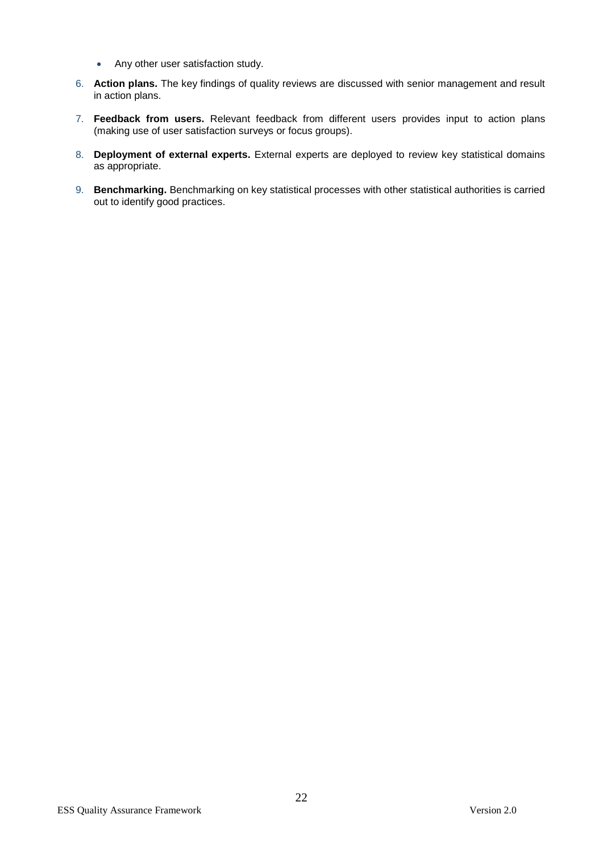- Any other user satisfaction study.
- 6. **Action plans.** The key findings of quality reviews are discussed with senior management and result in action plans.
- 7. **Feedback from users.** Relevant feedback from different users provides input to action plans (making use of user satisfaction surveys or focus groups).
- 8. **Deployment of external experts.** External experts are deployed to review key statistical domains as appropriate.
- 9. **Benchmarking.** Benchmarking on key statistical processes with other statistical authorities is carried out to identify good practices.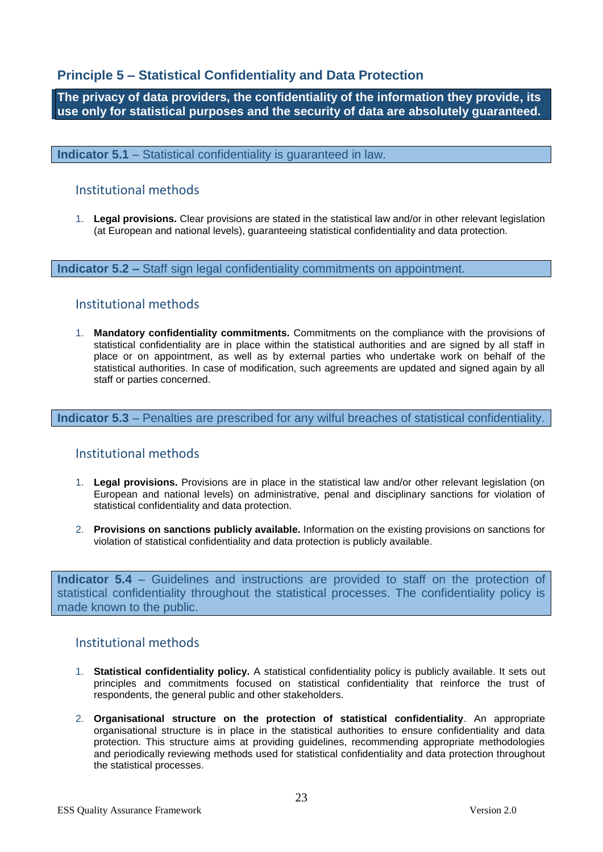# **Principle 5 – Statistical Confidentiality and Data Protection**

**The privacy of data providers, the confidentiality of the information they provide, its use only for statistical purposes and the security of data are absolutely guaranteed.**

**Indicator 5.1** – Statistical confidentiality is guaranteed in law.

# Institutional methods

1. **Legal provisions.** Clear provisions are stated in the statistical law and/or in other relevant legislation (at European and national levels), guaranteeing statistical confidentiality and data protection.

**Indicator 5.2 –** Staff sign legal confidentiality commitments on appointment.

## Institutional methods

1. **Mandatory confidentiality commitments.** Commitments on the compliance with the provisions of statistical confidentiality are in place within the statistical authorities and are signed by all staff in place or on appointment, as well as by external parties who undertake work on behalf of the statistical authorities. In case of modification, such agreements are updated and signed again by all staff or parties concerned.

**Indicator 5.3** – Penalties are prescribed for any wilful breaches of statistical confidentiality.

# Institutional methods

- 1. **Legal provisions.** Provisions are in place in the statistical law and/or other relevant legislation (on European and national levels) on administrative, penal and disciplinary sanctions for violation of statistical confidentiality and data protection.
- 2. **Provisions on sanctions publicly available.** Information on the existing provisions on sanctions for violation of statistical confidentiality and data protection is publicly available.

**Indicator 5.4** – Guidelines and instructions are provided to staff on the protection of statistical confidentiality throughout the statistical processes. The confidentiality policy is made known to the public.

- 1. **Statistical confidentiality policy.** A statistical confidentiality policy is publicly available. It sets out principles and commitments focused on statistical confidentiality that reinforce the trust of respondents, the general public and other stakeholders.
- 2. **Organisational structure on the protection of statistical confidentiality**. An appropriate organisational structure is in place in the statistical authorities to ensure confidentiality and data protection. This structure aims at providing guidelines, recommending appropriate methodologies and periodically reviewing methods used for statistical confidentiality and data protection throughout the statistical processes.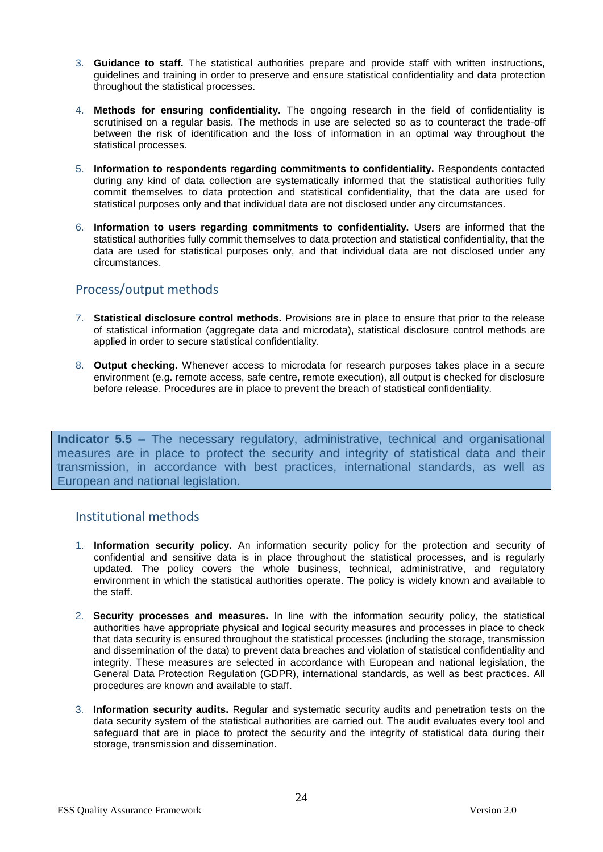- 3. **Guidance to staff.** The statistical authorities prepare and provide staff with written instructions, guidelines and training in order to preserve and ensure statistical confidentiality and data protection throughout the statistical processes.
- 4. **Methods for ensuring confidentiality.** The ongoing research in the field of confidentiality is scrutinised on a regular basis. The methods in use are selected so as to counteract the trade-off between the risk of identification and the loss of information in an optimal way throughout the statistical processes.
- 5. **Information to respondents regarding commitments to confidentiality.** Respondents contacted during any kind of data collection are systematically informed that the statistical authorities fully commit themselves to data protection and statistical confidentiality, that the data are used for statistical purposes only and that individual data are not disclosed under any circumstances.
- 6. **Information to users regarding commitments to confidentiality.** Users are informed that the statistical authorities fully commit themselves to data protection and statistical confidentiality, that the data are used for statistical purposes only, and that individual data are not disclosed under any circumstances.

# Process/output methods

- 7. **Statistical disclosure control methods.** Provisions are in place to ensure that prior to the release of statistical information (aggregate data and microdata), statistical disclosure control methods are applied in order to secure statistical confidentiality.
- 8. **Output checking.** Whenever access to microdata for research purposes takes place in a secure environment (e.g. remote access, safe centre, remote execution), all output is checked for disclosure before release. Procedures are in place to prevent the breach of statistical confidentiality.

**Indicator 5.5 –** The necessary regulatory, administrative, technical and organisational measures are in place to protect the security and integrity of statistical data and their transmission, in accordance with best practices, international standards, as well as European and national legislation.

- 1. **Information security policy.** An information security policy for the protection and security of confidential and sensitive data is in place throughout the statistical processes, and is regularly updated. The policy covers the whole business, technical, administrative, and regulatory environment in which the statistical authorities operate. The policy is widely known and available to the staff.
- 2. **Security processes and measures.** In line with the information security policy, the statistical authorities have appropriate physical and logical security measures and processes in place to check that data security is ensured throughout the statistical processes (including the storage, transmission and dissemination of the data) to prevent data breaches and violation of statistical confidentiality and integrity. These measures are selected in accordance with European and national legislation, the General Data Protection Regulation (GDPR), international standards, as well as best practices. All procedures are known and available to staff.
- 3. **Information security audits.** Regular and systematic security audits and penetration tests on the data security system of the statistical authorities are carried out. The audit evaluates every tool and safeguard that are in place to protect the security and the integrity of statistical data during their storage, transmission and dissemination.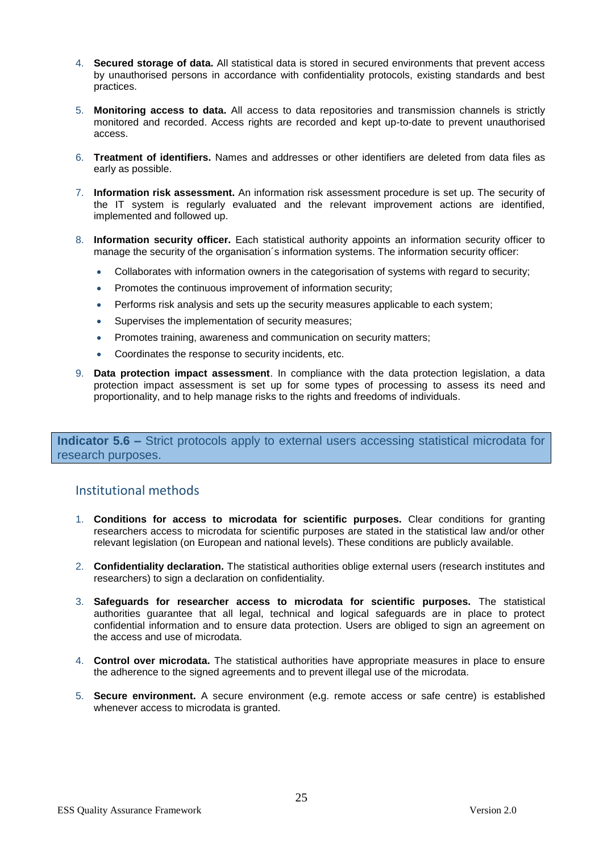- 4. **Secured storage of data.** All statistical data is stored in secured environments that prevent access by unauthorised persons in accordance with confidentiality protocols, existing standards and best practices.
- 5. **Monitoring access to data.** All access to data repositories and transmission channels is strictly monitored and recorded. Access rights are recorded and kept up-to-date to prevent unauthorised access.
- 6. **Treatment of identifiers.** Names and addresses or other identifiers are deleted from data files as early as possible.
- 7. **Information risk assessment.** An information risk assessment procedure is set up. The security of the IT system is regularly evaluated and the relevant improvement actions are identified, implemented and followed up.
- 8. **Information security officer.** Each statistical authority appoints an information security officer to manage the security of the organisation´s information systems. The information security officer:
	- Collaborates with information owners in the categorisation of systems with regard to security;
	- Promotes the continuous improvement of information security;
	- Performs risk analysis and sets up the security measures applicable to each system;
	- Supervises the implementation of security measures;
	- Promotes training, awareness and communication on security matters;
	- Coordinates the response to security incidents, etc.
- 9. **Data protection impact assessment**. In compliance with the data protection legislation, a data protection impact assessment is set up for some types of processing to assess its need and proportionality, and to help manage risks to the rights and freedoms of individuals.

**Indicator 5.6 –** Strict protocols apply to external users accessing statistical microdata for research purposes.

- 1. **Conditions for access to microdata for scientific purposes.** Clear conditions for granting researchers access to microdata for scientific purposes are stated in the statistical law and/or other relevant legislation (on European and national levels). These conditions are publicly available.
- 2. **Confidentiality declaration.** The statistical authorities oblige external users (research institutes and researchers) to sign a declaration on confidentiality.
- 3. **Safeguards for researcher access to microdata for scientific purposes.** The statistical authorities guarantee that all legal, technical and logical safeguards are in place to protect confidential information and to ensure data protection. Users are obliged to sign an agreement on the access and use of microdata.
- 4. **Control over microdata.** The statistical authorities have appropriate measures in place to ensure the adherence to the signed agreements and to prevent illegal use of the microdata.
- 5. **Secure environment.** A secure environment (e**.**g. remote access or safe centre) is established whenever access to microdata is granted.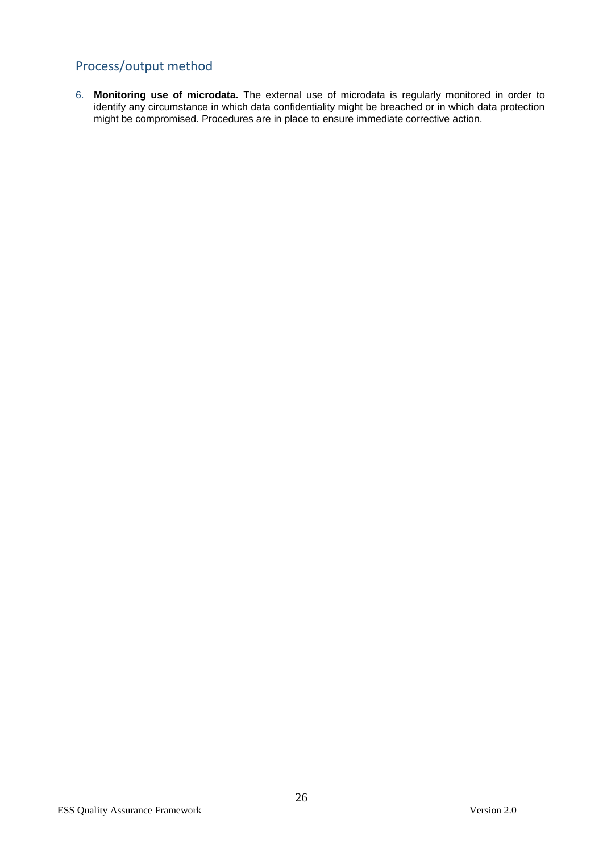# Process/output method

6. **Monitoring use of microdata.** The external use of microdata is regularly monitored in order to identify any circumstance in which data confidentiality might be breached or in which data protection might be compromised. Procedures are in place to ensure immediate corrective action.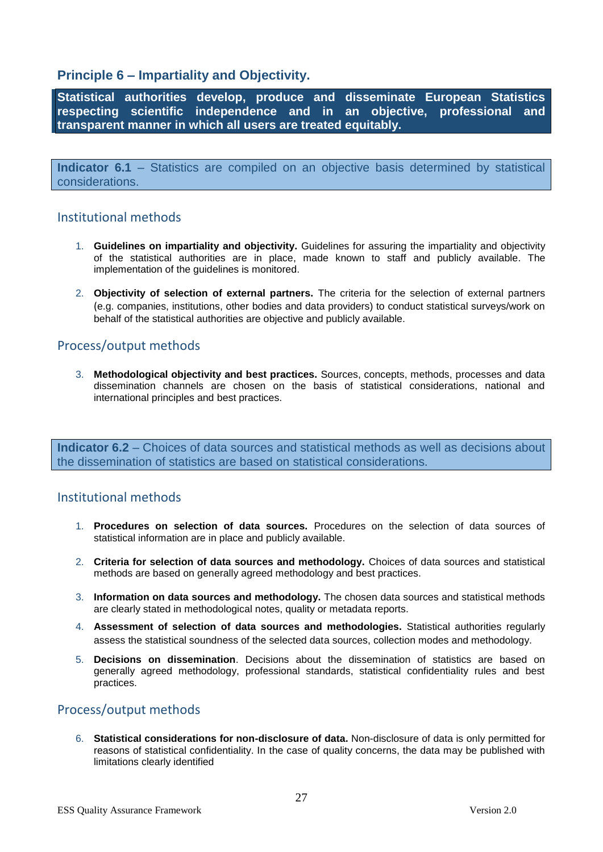# **Principle 6 – Impartiality and Objectivity.**

**Statistical authorities develop, produce and disseminate European Statistics respecting scientific independence and in an objective, professional and transparent manner in which all users are treated equitably.**

**Indicator 6.1** – Statistics are compiled on an objective basis determined by statistical considerations.

# Institutional methods

- 1. **Guidelines on impartiality and objectivity.** Guidelines for assuring the impartiality and objectivity of the statistical authorities are in place, made known to staff and publicly available. The implementation of the guidelines is monitored.
- 2. **Objectivity of selection of external partners.** The criteria for the selection of external partners (e.g. companies, institutions, other bodies and data providers) to conduct statistical surveys/work on behalf of the statistical authorities are objective and publicly available.

# Process/output methods

3. **Methodological objectivity and best practices.** Sources, concepts, methods, processes and data dissemination channels are chosen on the basis of statistical considerations, national and international principles and best practices.

**Indicator 6.2** – Choices of data sources and statistical methods as well as decisions about the dissemination of statistics are based on statistical considerations.

# Institutional methods

- 1. **Procedures on selection of data sources.** Procedures on the selection of data sources of statistical information are in place and publicly available.
- 2. **Criteria for selection of data sources and methodology.** Choices of data sources and statistical methods are based on generally agreed methodology and best practices.
- 3. **Information on data sources and methodology.** The chosen data sources and statistical methods are clearly stated in methodological notes, quality or metadata reports.
- 4. **Assessment of selection of data sources and methodologies.** Statistical authorities regularly assess the statistical soundness of the selected data sources, collection modes and methodology.
- 5. **Decisions on dissemination**. Decisions about the dissemination of statistics are based on generally agreed methodology, professional standards, statistical confidentiality rules and best practices.

# Process/output methods

6. **Statistical considerations for non-disclosure of data.** Non-disclosure of data is only permitted for reasons of statistical confidentiality. In the case of quality concerns, the data may be published with limitations clearly identified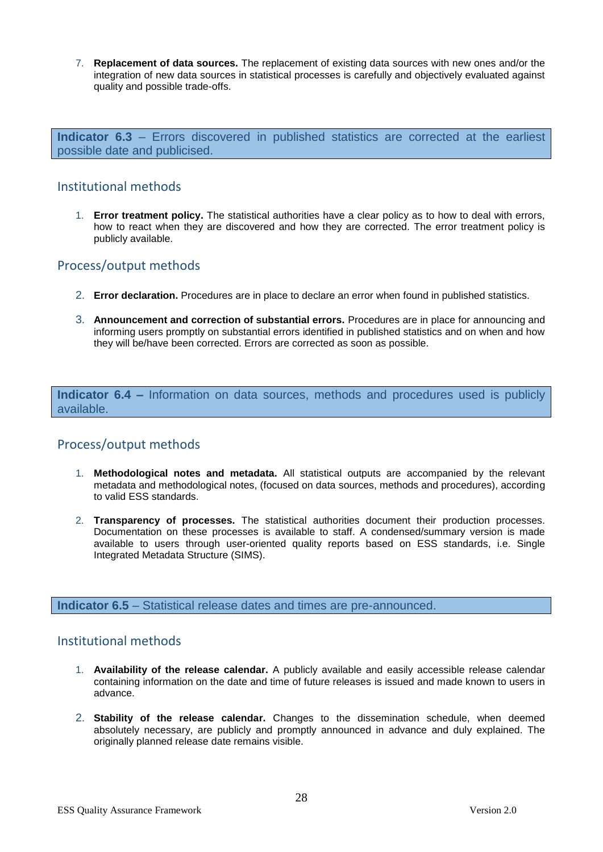7. **Replacement of data sources.** The replacement of existing data sources with new ones and/or the integration of new data sources in statistical processes is carefully and objectively evaluated against quality and possible trade-offs.

**Indicator 6.3** – Errors discovered in published statistics are corrected at the earliest possible date and publicised.

# Institutional methods

1. **Error treatment policy.** The statistical authorities have a clear policy as to how to deal with errors, how to react when they are discovered and how they are corrected. The error treatment policy is publicly available.

# Process/output methods

- 2. **Error declaration.** Procedures are in place to declare an error when found in published statistics.
- 3. **Announcement and correction of substantial errors.** Procedures are in place for announcing and informing users promptly on substantial errors identified in published statistics and on when and how they will be/have been corrected. Errors are corrected as soon as possible.

**Indicator 6.4 –** Information on data sources, methods and procedures used is publicly available.

# Process/output methods

- 1. **Methodological notes and metadata.** All statistical outputs are accompanied by the relevant metadata and methodological notes, (focused on data sources, methods and procedures), according to valid ESS standards.
- 2. **Transparency of processes.** The statistical authorities document their production processes. Documentation on these processes is available to staff. A condensed/summary version is made available to users through user-oriented quality reports based on ESS standards, i.e. Single Integrated Metadata Structure (SIMS).

**Indicator 6.5** – Statistical release dates and times are pre-announced.

- 1. **Availability of the release calendar.** A publicly available and easily accessible release calendar containing information on the date and time of future releases is issued and made known to users in advance.
- 2. **Stability of the release calendar.** Changes to the dissemination schedule, when deemed absolutely necessary, are publicly and promptly announced in advance and duly explained. The originally planned release date remains visible.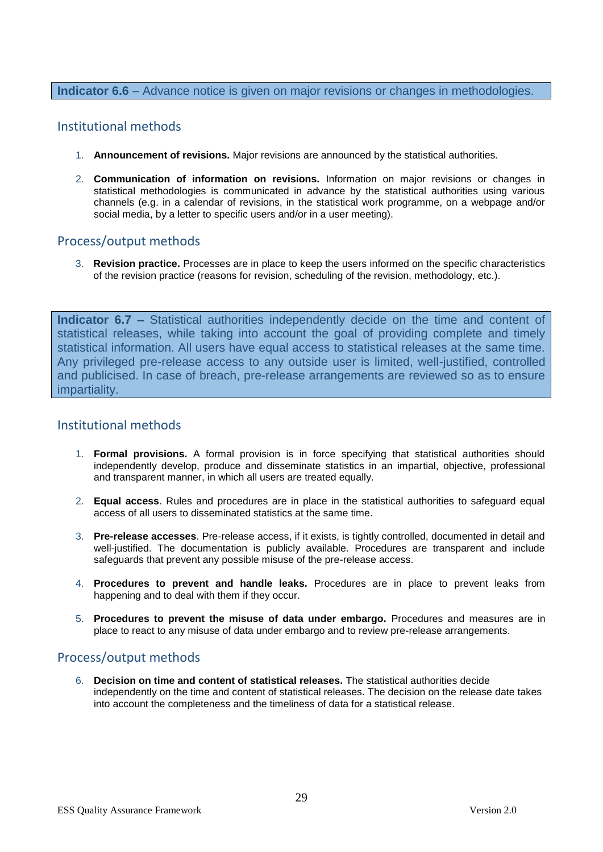#### **Indicator 6.6** – Advance notice is given on major revisions or changes in methodologies.

## Institutional methods

- 1. **Announcement of revisions.** Major revisions are announced by the statistical authorities.
- 2. **Communication of information on revisions.** Information on major revisions or changes in statistical methodologies is communicated in advance by the statistical authorities using various channels (e.g. in a calendar of revisions, in the statistical work programme, on a webpage and/or social media, by a letter to specific users and/or in a user meeting).

## Process/output methods

3. **Revision practice.** Processes are in place to keep the users informed on the specific characteristics of the revision practice (reasons for revision, scheduling of the revision, methodology, etc.).

**Indicator 6.7 –** Statistical authorities independently decide on the time and content of statistical releases, while taking into account the goal of providing complete and timely statistical information. All users have equal access to statistical releases at the same time. Any privileged pre-release access to any outside user is limited, well-justified, controlled and publicised. In case of breach, pre-release arrangements are reviewed so as to ensure impartiality.

#### Institutional methods

- 1. **Formal provisions.** A formal provision is in force specifying that statistical authorities should independently develop, produce and disseminate statistics in an impartial, objective, professional and transparent manner, in which all users are treated equally.
- 2. **Equal access**. Rules and procedures are in place in the statistical authorities to safeguard equal access of all users to disseminated statistics at the same time.
- 3. **Pre-release accesses**. Pre-release access, if it exists, is tightly controlled, documented in detail and well-justified. The documentation is publicly available. Procedures are transparent and include safeguards that prevent any possible misuse of the pre-release access.
- 4. **Procedures to prevent and handle leaks.** Procedures are in place to prevent leaks from happening and to deal with them if they occur.
- 5. **Procedures to prevent the misuse of data under embargo.** Procedures and measures are in place to react to any misuse of data under embargo and to review pre-release arrangements.

# Process/output methods

6. **Decision on time and content of statistical releases.** The statistical authorities decide independently on the time and content of statistical releases. The decision on the release date takes into account the completeness and the timeliness of data for a statistical release.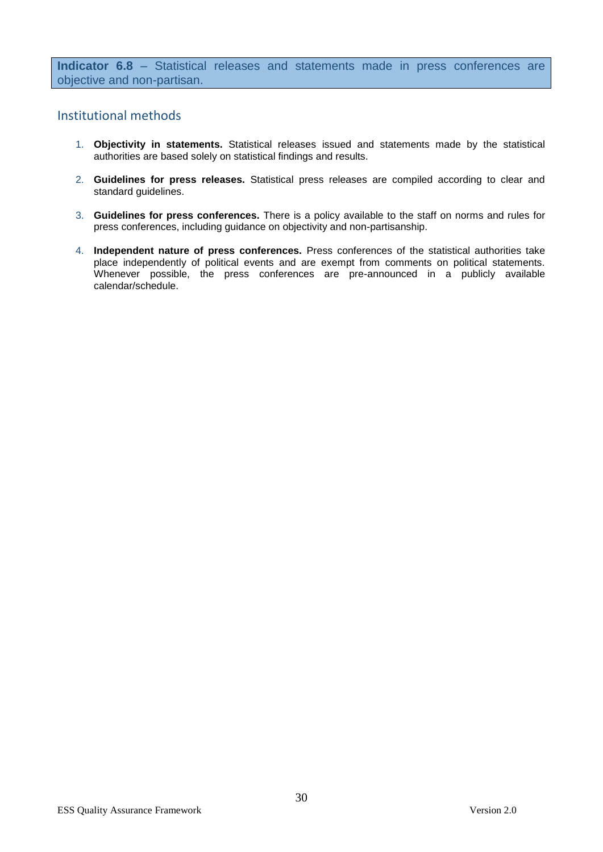**Indicator 6.8** – Statistical releases and statements made in press conferences are objective and non-partisan.

- 1. **Objectivity in statements.** Statistical releases issued and statements made by the statistical authorities are based solely on statistical findings and results.
- 2. **Guidelines for press releases.** Statistical press releases are compiled according to clear and standard guidelines.
- 3. **Guidelines for press conferences.** There is a policy available to the staff on norms and rules for press conferences, including guidance on objectivity and non-partisanship.
- 4. **Independent nature of press conferences.** Press conferences of the statistical authorities take place independently of political events and are exempt from comments on political statements. Whenever possible, the press conferences are pre-announced in a publicly available calendar/schedule.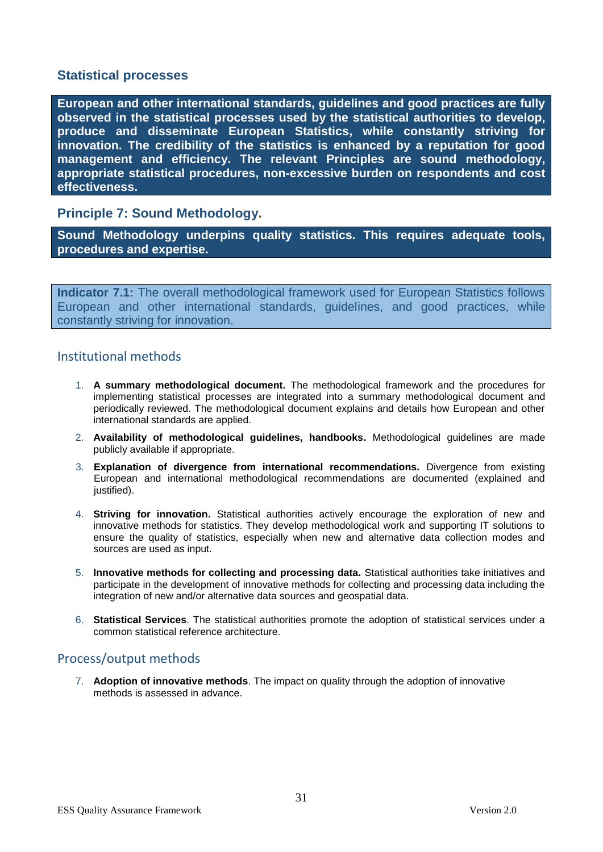# **Statistical processes**

**European and other international standards, guidelines and good practices are fully observed in the statistical processes used by the statistical authorities to develop, produce and disseminate European Statistics, while constantly striving for innovation. The credibility of the statistics is enhanced by a reputation for good management and efficiency. The relevant Principles are sound methodology, appropriate statistical procedures, non-excessive burden on respondents and cost effectiveness.**

# **Principle 7: Sound Methodology.**

**Sound Methodology underpins quality statistics. This requires adequate tools, procedures and expertise.**

**Indicator 7.1:** The overall methodological framework used for European Statistics follows European and other international standards, guidelines, and good practices, while constantly striving for innovation.

## Institutional methods

- 1. **A summary methodological document.** The methodological framework and the procedures for implementing statistical processes are integrated into a summary methodological document and periodically reviewed. The methodological document explains and details how European and other international standards are applied.
- 2. **Availability of methodological guidelines, handbooks.** Methodological guidelines are made publicly available if appropriate.
- 3. **Explanation of divergence from international recommendations.** Divergence from existing European and international methodological recommendations are documented (explained and justified).
- 4. **Striving for innovation.** Statistical authorities actively encourage the exploration of new and innovative methods for statistics. They develop methodological work and supporting IT solutions to ensure the quality of statistics, especially when new and alternative data collection modes and sources are used as input.
- 5. **Innovative methods for collecting and processing data.** Statistical authorities take initiatives and participate in the development of innovative methods for collecting and processing data including the integration of new and/or alternative data sources and geospatial data.
- 6. **Statistical Services**. The statistical authorities promote the adoption of statistical services under a common statistical reference architecture.

# Process/output methods

7. **Adoption of innovative methods**. The impact on quality through the adoption of innovative methods is assessed in advance.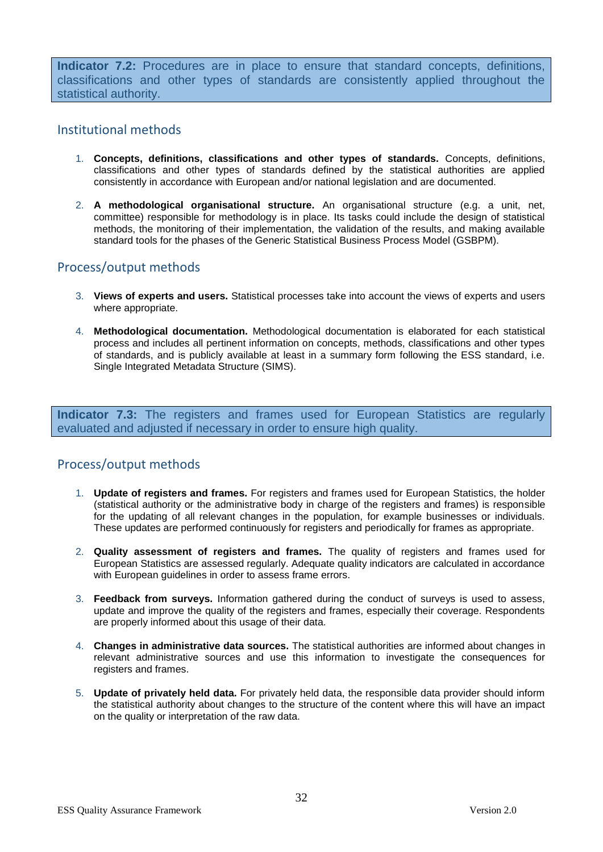**Indicator 7.2:** Procedures are in place to ensure that standard concepts, definitions, classifications and other types of standards are consistently applied throughout the statistical authority.

## Institutional methods

- 1. **Concepts, definitions, classifications and other types of standards.** Concepts, definitions, classifications and other types of standards defined by the statistical authorities are applied consistently in accordance with European and/or national legislation and are documented.
- 2. **A methodological organisational structure.** An organisational structure (e.g. a unit, net, committee) responsible for methodology is in place. Its tasks could include the design of statistical methods, the monitoring of their implementation, the validation of the results, and making available standard tools for the phases of the Generic Statistical Business Process Model (GSBPM).

# Process/output methods

- 3. **Views of experts and users.** Statistical processes take into account the views of experts and users where appropriate.
- 4. **Methodological documentation.** Methodological documentation is elaborated for each statistical process and includes all pertinent information on concepts, methods, classifications and other types of standards, and is publicly available at least in a summary form following the ESS standard, i.e. Single Integrated Metadata Structure (SIMS).

**Indicator 7.3:** The registers and frames used for European Statistics are regularly evaluated and adjusted if necessary in order to ensure high quality.

# Process/output methods

- 1. **Update of registers and frames.** For registers and frames used for European Statistics, the holder (statistical authority or the administrative body in charge of the registers and frames) is responsible for the updating of all relevant changes in the population, for example businesses or individuals. These updates are performed continuously for registers and periodically for frames as appropriate.
- 2. **Quality assessment of registers and frames.** The quality of registers and frames used for European Statistics are assessed regularly. Adequate quality indicators are calculated in accordance with European guidelines in order to assess frame errors.
- 3. **Feedback from surveys.** Information gathered during the conduct of surveys is used to assess, update and improve the quality of the registers and frames, especially their coverage. Respondents are properly informed about this usage of their data.
- 4. **Changes in administrative data sources.** The statistical authorities are informed about changes in relevant administrative sources and use this information to investigate the consequences for registers and frames.
- 5. **Update of privately held data.** For privately held data, the responsible data provider should inform the statistical authority about changes to the structure of the content where this will have an impact on the quality or interpretation of the raw data.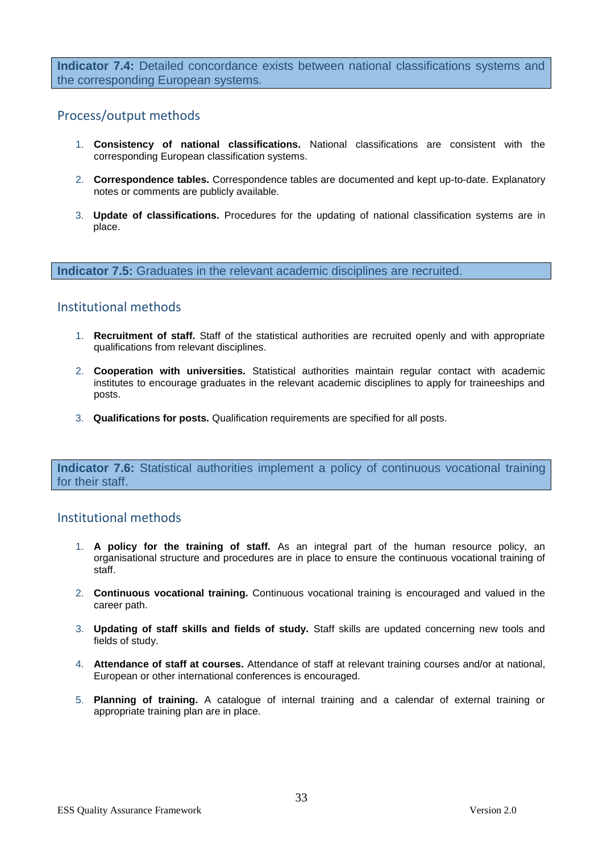**Indicator 7.4:** Detailed concordance exists between national classifications systems and the corresponding European systems.

# Process/output methods

- 1. **Consistency of national classifications.** National classifications are consistent with the corresponding European classification systems.
- 2. **Correspondence tables.** Correspondence tables are documented and kept up-to-date. Explanatory notes or comments are publicly available.
- 3. **Update of classifications.** Procedures for the updating of national classification systems are in place.

**Indicator 7.5:** Graduates in the relevant academic disciplines are recruited.

## Institutional methods

- 1. **Recruitment of staff.** Staff of the statistical authorities are recruited openly and with appropriate qualifications from relevant disciplines.
- 2. **Cooperation with universities.** Statistical authorities maintain regular contact with academic institutes to encourage graduates in the relevant academic disciplines to apply for traineeships and posts.
- 3. **Qualifications for posts.** Qualification requirements are specified for all posts.

**Indicator 7.6:** Statistical authorities implement a policy of continuous vocational training for their staff.

- 1. **A policy for the training of staff.** As an integral part of the human resource policy, an organisational structure and procedures are in place to ensure the continuous vocational training of staff.
- 2. **Continuous vocational training.** Continuous vocational training is encouraged and valued in the career path.
- 3. **Updating of staff skills and fields of study.** Staff skills are updated concerning new tools and fields of study.
- 4. **Attendance of staff at courses.** Attendance of staff at relevant training courses and/or at national, European or other international conferences is encouraged.
- 5. **Planning of training.** A catalogue of internal training and a calendar of external training or appropriate training plan are in place.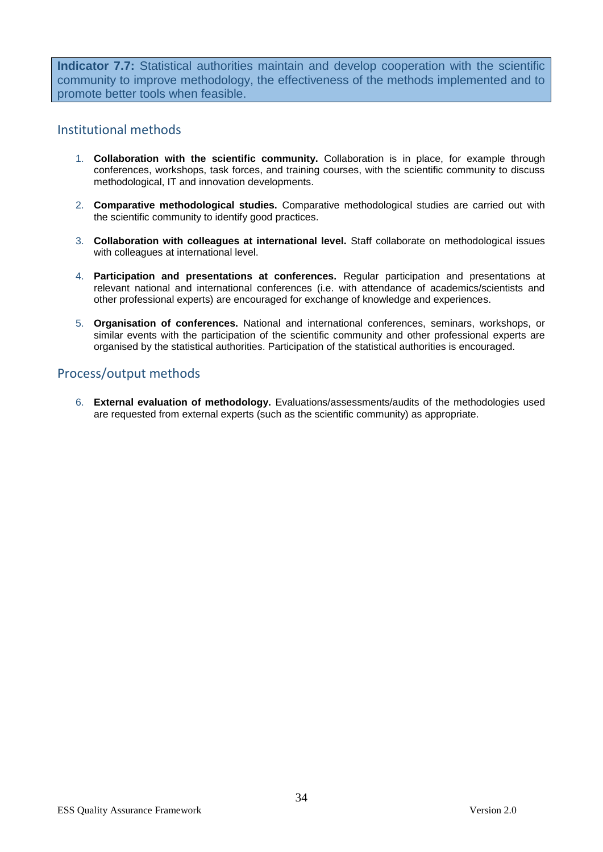**Indicator 7.7:** Statistical authorities maintain and develop cooperation with the scientific community to improve methodology, the effectiveness of the methods implemented and to promote better tools when feasible.

## Institutional methods

- 1. **Collaboration with the scientific community.** Collaboration is in place, for example through conferences, workshops, task forces, and training courses, with the scientific community to discuss methodological, IT and innovation developments.
- 2. **Comparative methodological studies.** Comparative methodological studies are carried out with the scientific community to identify good practices.
- 3. **Collaboration with colleagues at international level.** Staff collaborate on methodological issues with colleagues at international level.
- 4. **Participation and presentations at conferences.** Regular participation and presentations at relevant national and international conferences (i.e. with attendance of academics/scientists and other professional experts) are encouraged for exchange of knowledge and experiences.
- 5. **Organisation of conferences.** National and international conferences, seminars, workshops, or similar events with the participation of the scientific community and other professional experts are organised by the statistical authorities. Participation of the statistical authorities is encouraged.

# Process/output methods

6. **External evaluation of methodology.** Evaluations/assessments/audits of the methodologies used are requested from external experts (such as the scientific community) as appropriate.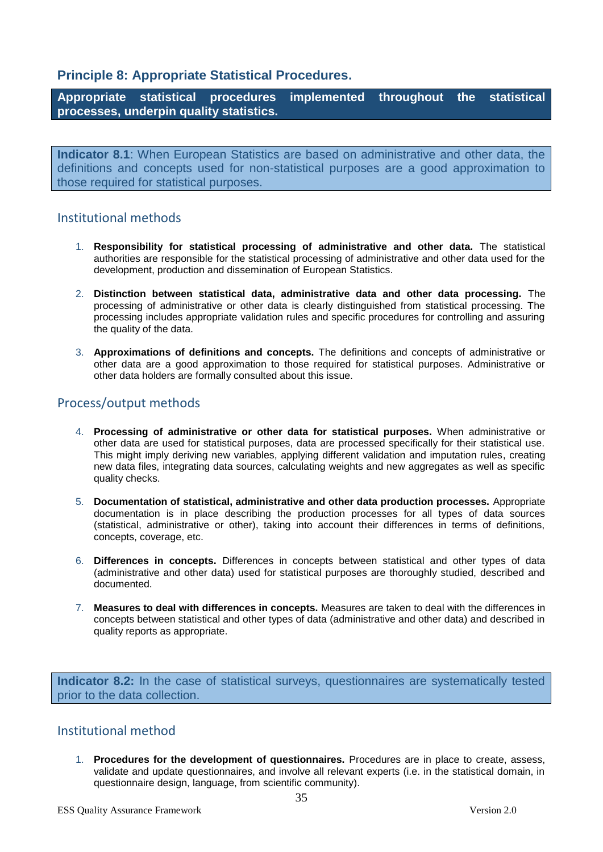# **Principle 8: Appropriate Statistical Procedures.**

**Appropriate statistical procedures implemented throughout the statistical processes, underpin quality statistics.**

**Indicator 8.1**: When European Statistics are based on administrative and other data, the definitions and concepts used for non-statistical purposes are a good approximation to those required for statistical purposes.

## Institutional methods

- 1. **Responsibility for statistical processing of administrative and other data.** The statistical authorities are responsible for the statistical processing of administrative and other data used for the development, production and dissemination of European Statistics.
- 2. **Distinction between statistical data, administrative data and other data processing.** The processing of administrative or other data is clearly distinguished from statistical processing. The processing includes appropriate validation rules and specific procedures for controlling and assuring the quality of the data.
- 3. **Approximations of definitions and concepts.** The definitions and concepts of administrative or other data are a good approximation to those required for statistical purposes. Administrative or other data holders are formally consulted about this issue.

# Process/output methods

- 4. **Processing of administrative or other data for statistical purposes.** When administrative or other data are used for statistical purposes, data are processed specifically for their statistical use. This might imply deriving new variables, applying different validation and imputation rules, creating new data files, integrating data sources, calculating weights and new aggregates as well as specific quality checks.
- 5. **Documentation of statistical, administrative and other data production processes.** Appropriate documentation is in place describing the production processes for all types of data sources (statistical, administrative or other), taking into account their differences in terms of definitions, concepts, coverage, etc.
- 6. **Differences in concepts.** Differences in concepts between statistical and other types of data (administrative and other data) used for statistical purposes are thoroughly studied, described and documented.
- 7. **Measures to deal with differences in concepts.** Measures are taken to deal with the differences in concepts between statistical and other types of data (administrative and other data) and described in quality reports as appropriate.

**Indicator 8.2:** In the case of statistical surveys, questionnaires are systematically tested prior to the data collection.

# Institutional method

1. **Procedures for the development of questionnaires.** Procedures are in place to create, assess, validate and update questionnaires, and involve all relevant experts (i.e. in the statistical domain, in questionnaire design, language, from scientific community).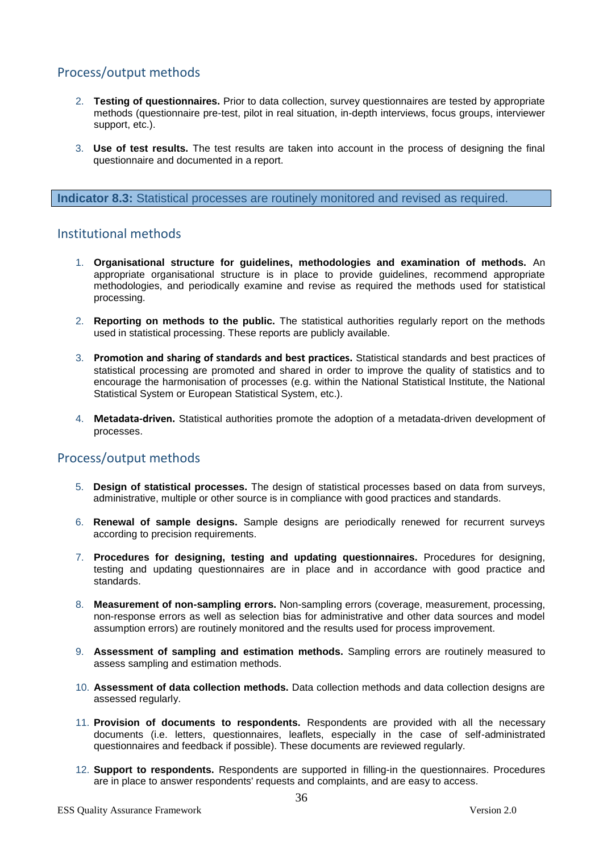# Process/output methods

- 2. **Testing of questionnaires.** Prior to data collection, survey questionnaires are tested by appropriate methods (questionnaire pre-test, pilot in real situation, in-depth interviews, focus groups, interviewer support, etc.).
- 3. **Use of test results.** The test results are taken into account in the process of designing the final questionnaire and documented in a report.

#### **Indicator 8.3:** Statistical processes are routinely monitored and revised as required.

## Institutional methods

- 1. **Organisational structure for guidelines, methodologies and examination of methods.** An appropriate organisational structure is in place to provide guidelines, recommend appropriate methodologies, and periodically examine and revise as required the methods used for statistical processing.
- 2. **Reporting on methods to the public.** The statistical authorities regularly report on the methods used in statistical processing. These reports are publicly available.
- 3. **Promotion and sharing of standards and best practices.** Statistical standards and best practices of statistical processing are promoted and shared in order to improve the quality of statistics and to encourage the harmonisation of processes (e.g. within the National Statistical Institute, the National Statistical System or European Statistical System, etc.).
- 4. **Metadata-driven.** Statistical authorities promote the adoption of a metadata-driven development of processes.

# Process/output methods

- 5. **Design of statistical processes.** The design of statistical processes based on data from surveys, administrative, multiple or other source is in compliance with good practices and standards.
- 6. **Renewal of sample designs.** Sample designs are periodically renewed for recurrent surveys according to precision requirements.
- 7. **Procedures for designing, testing and updating questionnaires.** Procedures for designing, testing and updating questionnaires are in place and in accordance with good practice and standards.
- 8. **Measurement of non-sampling errors.** Non-sampling errors (coverage, measurement, processing, non-response errors as well as selection bias for administrative and other data sources and model assumption errors) are routinely monitored and the results used for process improvement.
- 9. **Assessment of sampling and estimation methods.** Sampling errors are routinely measured to assess sampling and estimation methods.
- 10. **Assessment of data collection methods.** Data collection methods and data collection designs are assessed regularly.
- 11. **Provision of documents to respondents.** Respondents are provided with all the necessary documents (i.e. letters, questionnaires, leaflets, especially in the case of self-administrated questionnaires and feedback if possible). These documents are reviewed regularly.
- 12. **Support to respondents.** Respondents are supported in filling-in the questionnaires. Procedures are in place to answer respondents' requests and complaints, and are easy to access.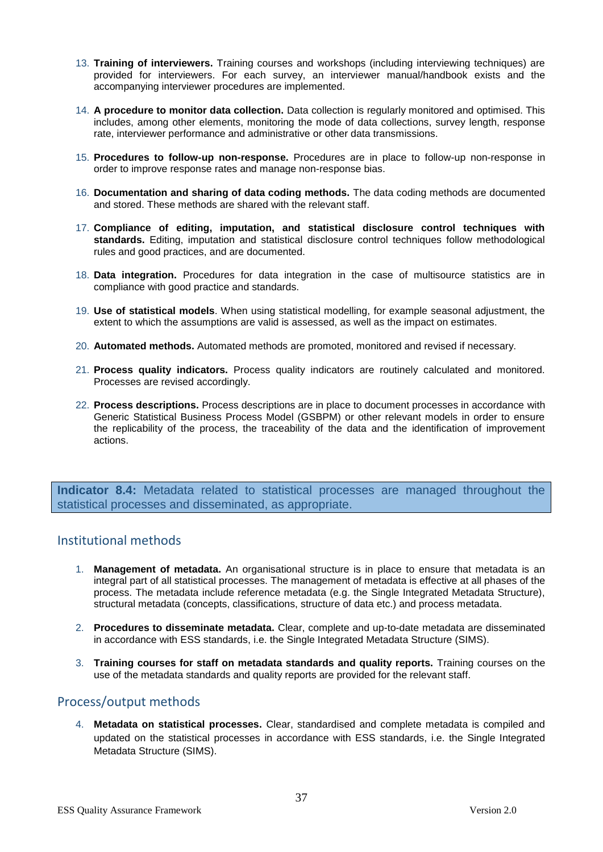- 13. **Training of interviewers.** Training courses and workshops (including interviewing techniques) are provided for interviewers. For each survey, an interviewer manual/handbook exists and the accompanying interviewer procedures are implemented.
- 14. **A procedure to monitor data collection.** Data collection is regularly monitored and optimised. This includes, among other elements, monitoring the mode of data collections, survey length, response rate, interviewer performance and administrative or other data transmissions.
- 15. **Procedures to follow-up non-response.** Procedures are in place to follow-up non-response in order to improve response rates and manage non-response bias.
- 16. **Documentation and sharing of data coding methods.** The data coding methods are documented and stored. These methods are shared with the relevant staff.
- 17. **Compliance of editing, imputation, and statistical disclosure control techniques with standards.** Editing, imputation and statistical disclosure control techniques follow methodological rules and good practices, and are documented.
- 18. **Data integration.** Procedures for data integration in the case of multisource statistics are in compliance with good practice and standards.
- 19. **Use of statistical models**. When using statistical modelling, for example seasonal adjustment, the extent to which the assumptions are valid is assessed, as well as the impact on estimates.
- 20. **Automated methods.** Automated methods are promoted, monitored and revised if necessary.
- 21. **Process quality indicators.** Process quality indicators are routinely calculated and monitored. Processes are revised accordingly.
- 22. **Process descriptions.** Process descriptions are in place to document processes in accordance with Generic Statistical Business Process Model (GSBPM) or other relevant models in order to ensure the replicability of the process, the traceability of the data and the identification of improvement actions.

**Indicator 8.4:** Metadata related to statistical processes are managed throughout the statistical processes and disseminated, as appropriate.

# Institutional methods

- 1. **Management of metadata.** An organisational structure is in place to ensure that metadata is an integral part of all statistical processes. The management of metadata is effective at all phases of the process. The metadata include reference metadata (e.g. the Single Integrated Metadata Structure), structural metadata (concepts, classifications, structure of data etc.) and process metadata.
- 2. **Procedures to disseminate metadata.** Clear, complete and up-to-date metadata are disseminated in accordance with ESS standards, i.e. the Single Integrated Metadata Structure (SIMS).
- 3. **Training courses for staff on metadata standards and quality reports.** Training courses on the use of the metadata standards and quality reports are provided for the relevant staff.

# Process/output methods

4. **Metadata on statistical processes.** Clear, standardised and complete metadata is compiled and updated on the statistical processes in accordance with ESS standards, i.e. the Single Integrated Metadata Structure (SIMS).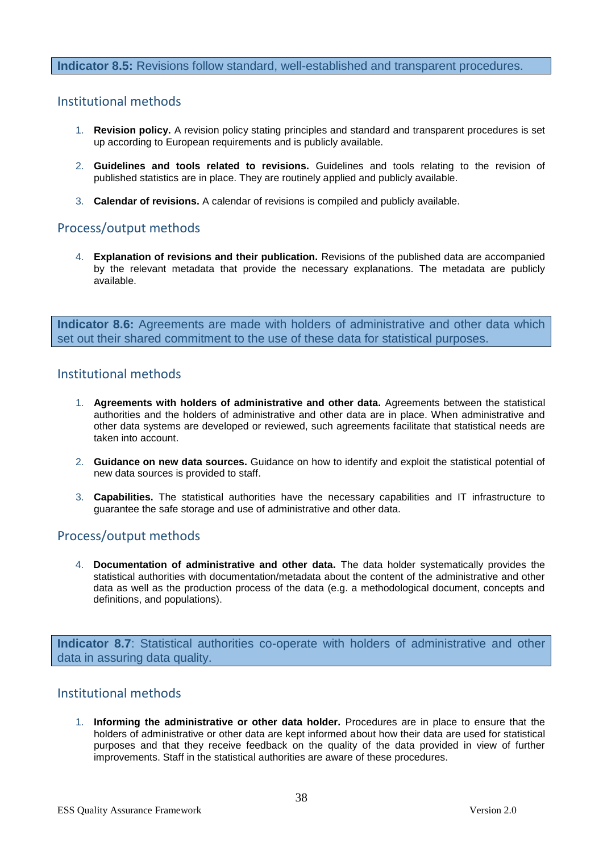#### **Indicator 8.5:** Revisions follow standard, well-established and transparent procedures.

## Institutional methods

- 1. **Revision policy.** A revision policy stating principles and standard and transparent procedures is set up according to European requirements and is publicly available.
- 2. **Guidelines and tools related to revisions.** Guidelines and tools relating to the revision of published statistics are in place. They are routinely applied and publicly available.
- 3. **Calendar of revisions.** A calendar of revisions is compiled and publicly available.

# Process/output methods

4. **Explanation of revisions and their publication.** Revisions of the published data are accompanied by the relevant metadata that provide the necessary explanations. The metadata are publicly available.

**Indicator 8.6:** Agreements are made with holders of administrative and other data which set out their shared commitment to the use of these data for statistical purposes.

## Institutional methods

- 1. **Agreements with holders of administrative and other data.** Agreements between the statistical authorities and the holders of administrative and other data are in place. When administrative and other data systems are developed or reviewed, such agreements facilitate that statistical needs are taken into account.
- 2. **Guidance on new data sources.** Guidance on how to identify and exploit the statistical potential of new data sources is provided to staff.
- 3. **Capabilities.** The statistical authorities have the necessary capabilities and IT infrastructure to guarantee the safe storage and use of administrative and other data.

# Process/output methods

4. **Documentation of administrative and other data.** The data holder systematically provides the statistical authorities with documentation/metadata about the content of the administrative and other data as well as the production process of the data (e.g. a methodological document, concepts and definitions, and populations).

**Indicator 8.7**: Statistical authorities co-operate with holders of administrative and other data in assuring data quality.

## Institutional methods

1. **Informing the administrative or other data holder.** Procedures are in place to ensure that the holders of administrative or other data are kept informed about how their data are used for statistical purposes and that they receive feedback on the quality of the data provided in view of further improvements. Staff in the statistical authorities are aware of these procedures.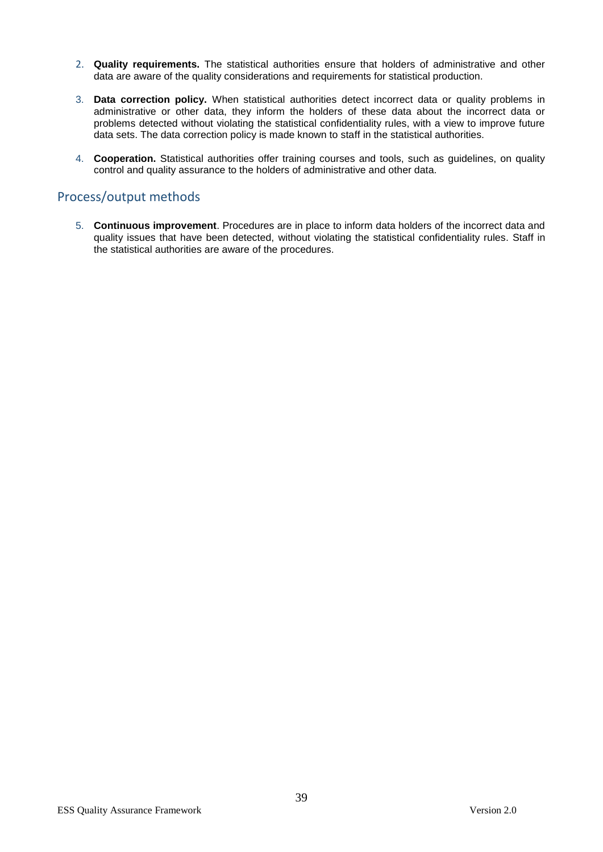- 2. **Quality requirements.** The statistical authorities ensure that holders of administrative and other data are aware of the quality considerations and requirements for statistical production.
- 3. **Data correction policy.** When statistical authorities detect incorrect data or quality problems in administrative or other data, they inform the holders of these data about the incorrect data or problems detected without violating the statistical confidentiality rules, with a view to improve future data sets. The data correction policy is made known to staff in the statistical authorities.
- 4. **Cooperation.** Statistical authorities offer training courses and tools, such as guidelines, on quality control and quality assurance to the holders of administrative and other data.

# Process/output methods

5. **Continuous improvement**. Procedures are in place to inform data holders of the incorrect data and quality issues that have been detected, without violating the statistical confidentiality rules. Staff in the statistical authorities are aware of the procedures.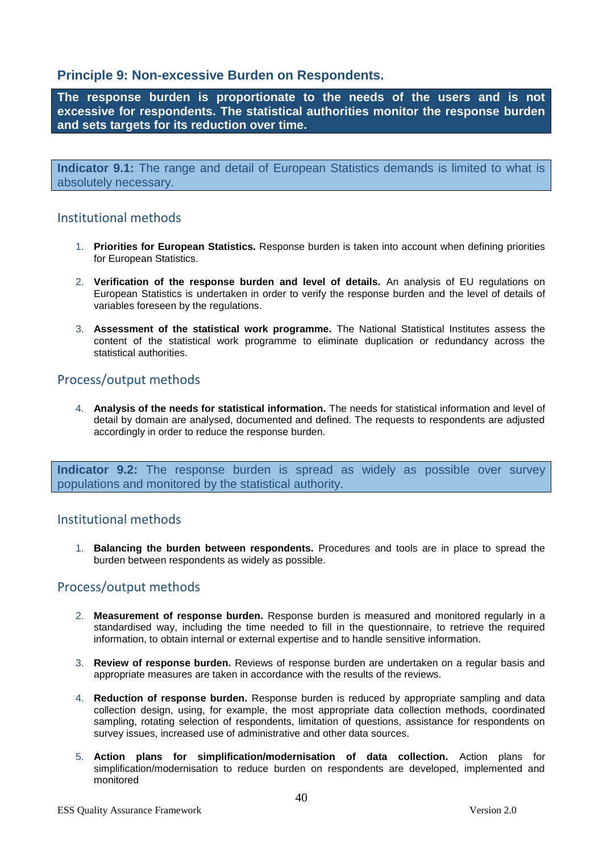# **Principle 9: Non-excessive Burden on Respondents.**

**The response burden is proportionate to the needs of the users and is not excessive for respondents. The statistical authorities monitor the response burden and sets targets for its reduction over time.**

**Indicator 9.1:** The range and detail of European Statistics demands is limited to what is absolutely necessary.

# Institutional methods

- 1. **Priorities for European Statistics.** Response burden is taken into account when defining priorities for European Statistics.
- 2. **Verification of the response burden and level of details.** An analysis of EU regulations on European Statistics is undertaken in order to verify the response burden and the level of details of variables foreseen by the regulations.
- 3. **Assessment of the statistical work programme.** The National Statistical Institutes assess the content of the statistical work programme to eliminate duplication or redundancy across the statistical authorities.

# Process/output methods

4. **Analysis of the needs for statistical information.** The needs for statistical information and level of detail by domain are analysed, documented and defined. The requests to respondents are adjusted accordingly in order to reduce the response burden.

**Indicator 9.2:** The response burden is spread as widely as possible over survey populations and monitored by the statistical authority.

# Institutional methods

1. **Balancing the burden between respondents.** Procedures and tools are in place to spread the burden between respondents as widely as possible.

# Process/output methods

- 2. **Measurement of response burden.** Response burden is measured and monitored regularly in a standardised way, including the time needed to fill in the questionnaire, to retrieve the required information, to obtain internal or external expertise and to handle sensitive information.
- 3. **Review of response burden.** Reviews of response burden are undertaken on a regular basis and appropriate measures are taken in accordance with the results of the reviews.
- 4. **Reduction of response burden.** Response burden is reduced by appropriate sampling and data collection design, using, for example, the most appropriate data collection methods, coordinated sampling, rotating selection of respondents, limitation of questions, assistance for respondents on survey issues, increased use of administrative and other data sources.
- 5. **Action plans for simplification/modernisation of data collection.** Action plans for simplification/modernisation to reduce burden on respondents are developed, implemented and monitored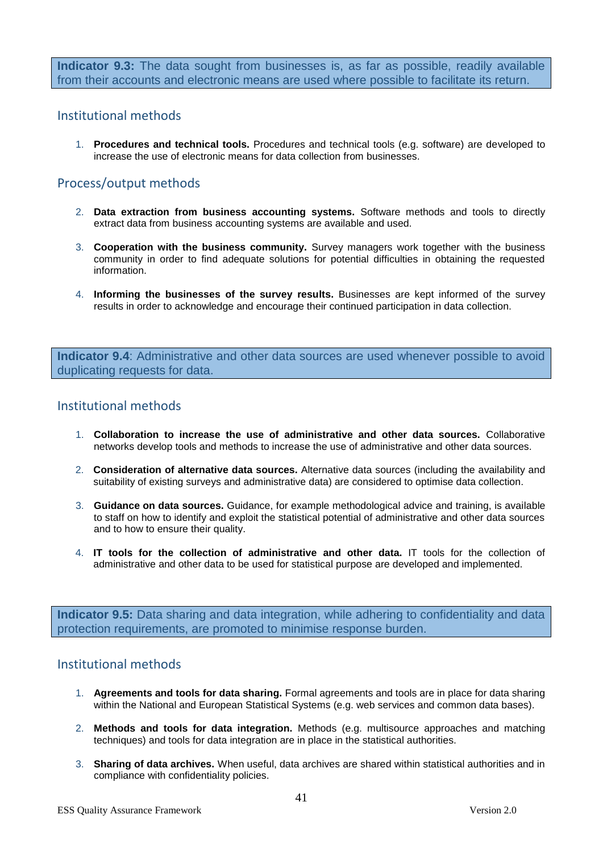**Indicator 9.3:** The data sought from businesses is, as far as possible, readily available from their accounts and electronic means are used where possible to facilitate its return.

## Institutional methods

1. **Procedures and technical tools.** Procedures and technical tools (e.g. software) are developed to increase the use of electronic means for data collection from businesses.

## Process/output methods

- 2. **Data extraction from business accounting systems.** Software methods and tools to directly extract data from business accounting systems are available and used.
- 3. **Cooperation with the business community.** Survey managers work together with the business community in order to find adequate solutions for potential difficulties in obtaining the requested information.
- 4. **Informing the businesses of the survey results.** Businesses are kept informed of the survey results in order to acknowledge and encourage their continued participation in data collection.

**Indicator 9.4**: Administrative and other data sources are used whenever possible to avoid duplicating requests for data.

## Institutional methods

- 1. **Collaboration to increase the use of administrative and other data sources.** Collaborative networks develop tools and methods to increase the use of administrative and other data sources.
- 2. **Consideration of alternative data sources.** Alternative data sources (including the availability and suitability of existing surveys and administrative data) are considered to optimise data collection.
- 3. **Guidance on data sources.** Guidance, for example methodological advice and training, is available to staff on how to identify and exploit the statistical potential of administrative and other data sources and to how to ensure their quality.
- 4. **IT tools for the collection of administrative and other data.** IT tools for the collection of administrative and other data to be used for statistical purpose are developed and implemented.

**Indicator 9.5:** Data sharing and data integration, while adhering to confidentiality and data protection requirements, are promoted to minimise response burden.

- 1. **Agreements and tools for data sharing.** Formal agreements and tools are in place for data sharing within the National and European Statistical Systems (e.g. web services and common data bases).
- 2. **Methods and tools for data integration.** Methods (e.g. multisource approaches and matching techniques) and tools for data integration are in place in the statistical authorities.
- 3. **Sharing of data archives.** When useful, data archives are shared within statistical authorities and in compliance with confidentiality policies.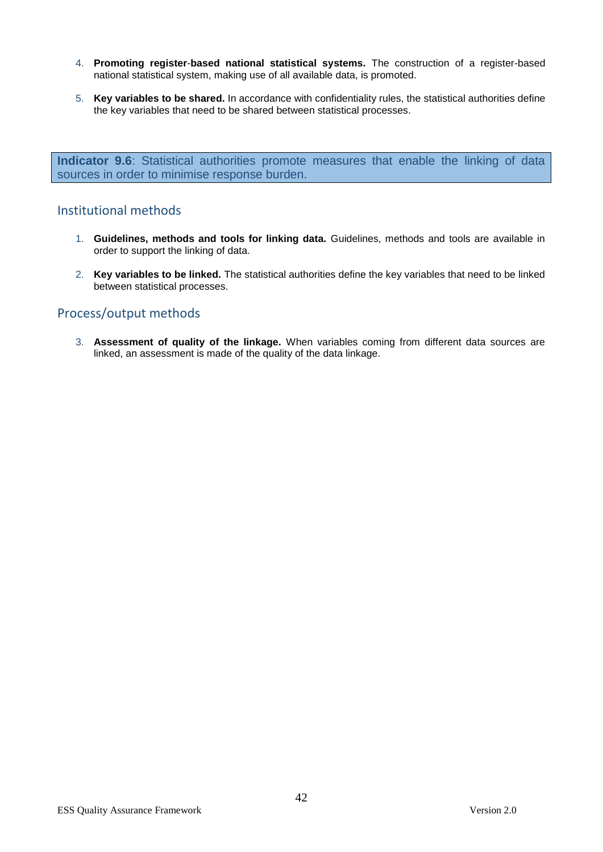- 4. **Promoting register**-**based national statistical systems.** The construction of a register-based national statistical system, making use of all available data, is promoted.
- 5. **Key variables to be shared.** In accordance with confidentiality rules, the statistical authorities define the key variables that need to be shared between statistical processes.

**Indicator 9.6**: Statistical authorities promote measures that enable the linking of data sources in order to minimise response burden.

# Institutional methods

- 1. **Guidelines, methods and tools for linking data.** Guidelines, methods and tools are available in order to support the linking of data.
- 2. **Key variables to be linked.** The statistical authorities define the key variables that need to be linked between statistical processes.

# Process/output methods

3. **Assessment of quality of the linkage.** When variables coming from different data sources are linked, an assessment is made of the quality of the data linkage.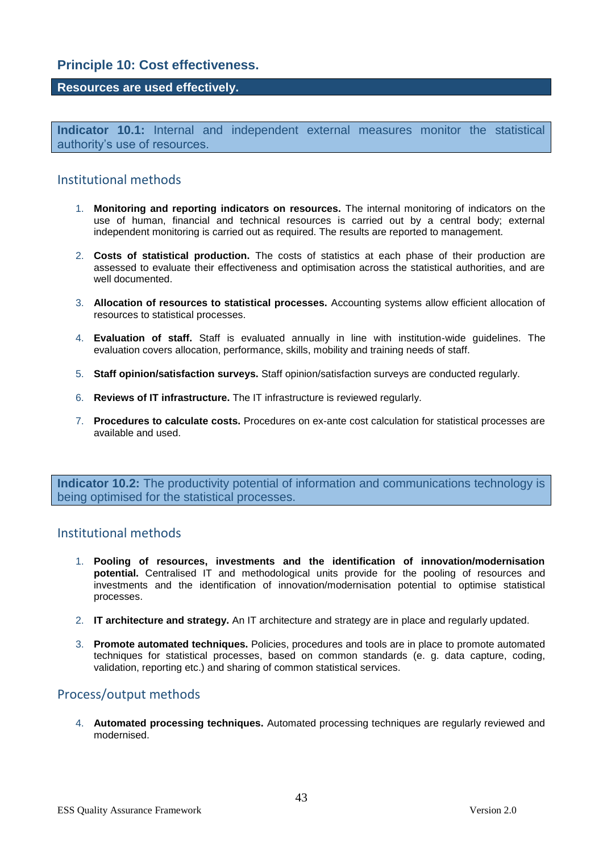# **Principle 10: Cost effectiveness.**

#### **Resources are used effectively.**

**Indicator 10.1:** Internal and independent external measures monitor the statistical authority's use of resources.

## Institutional methods

- 1. **Monitoring and reporting indicators on resources.** The internal monitoring of indicators on the use of human, financial and technical resources is carried out by a central body; external independent monitoring is carried out as required. The results are reported to management.
- 2. **Costs of statistical production.** The costs of statistics at each phase of their production are assessed to evaluate their effectiveness and optimisation across the statistical authorities, and are well documented.
- 3. **Allocation of resources to statistical processes.** Accounting systems allow efficient allocation of resources to statistical processes.
- 4. **Evaluation of staff.** Staff is evaluated annually in line with institution-wide guidelines. The evaluation covers allocation, performance, skills, mobility and training needs of staff.
- 5. **Staff opinion/satisfaction surveys.** Staff opinion/satisfaction surveys are conducted regularly.
- 6. **Reviews of IT infrastructure.** The IT infrastructure is reviewed regularly.
- 7. **Procedures to calculate costs.** Procedures on ex-ante cost calculation for statistical processes are available and used.

**Indicator 10.2:** The productivity potential of information and communications technology is being optimised for the statistical processes.

# Institutional methods

- 1. **Pooling of resources, investments and the identification of innovation/modernisation potential.** Centralised IT and methodological units provide for the pooling of resources and investments and the identification of innovation/modernisation potential to optimise statistical processes.
- 2. **IT architecture and strategy.** An IT architecture and strategy are in place and regularly updated.
- 3. **Promote automated techniques.** Policies, procedures and tools are in place to promote automated techniques for statistical processes, based on common standards (e. g. data capture, coding, validation, reporting etc.) and sharing of common statistical services.

# Process/output methods

4. **Automated processing techniques.** Automated processing techniques are regularly reviewed and modernised.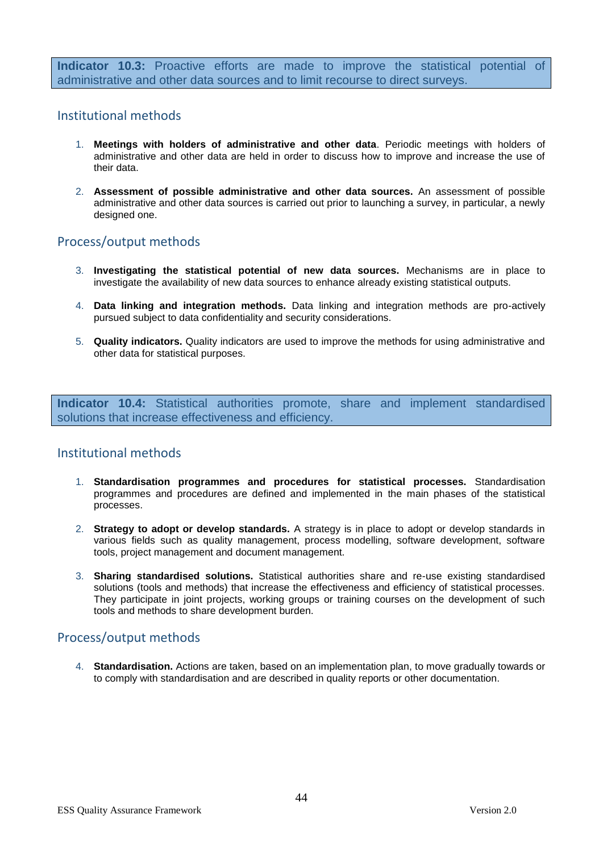**Indicator 10.3:** Proactive efforts are made to improve the statistical potential of administrative and other data sources and to limit recourse to direct surveys.

## Institutional methods

- 1. **Meetings with holders of administrative and other data**. Periodic meetings with holders of administrative and other data are held in order to discuss how to improve and increase the use of their data.
- 2. **Assessment of possible administrative and other data sources.** An assessment of possible administrative and other data sources is carried out prior to launching a survey, in particular, a newly designed one.

# Process/output methods

- 3. **Investigating the statistical potential of new data sources.** Mechanisms are in place to investigate the availability of new data sources to enhance already existing statistical outputs.
- 4. **Data linking and integration methods.** Data linking and integration methods are pro-actively pursued subject to data confidentiality and security considerations.
- 5. **Quality indicators.** Quality indicators are used to improve the methods for using administrative and other data for statistical purposes.

**Indicator 10.4:** Statistical authorities promote, share and implement standardised solutions that increase effectiveness and efficiency.

# Institutional methods

- 1. **Standardisation programmes and procedures for statistical processes.** Standardisation programmes and procedures are defined and implemented in the main phases of the statistical processes.
- 2. **Strategy to adopt or develop standards.** A strategy is in place to adopt or develop standards in various fields such as quality management, process modelling, software development, software tools, project management and document management.
- 3. **Sharing standardised solutions.** Statistical authorities share and re-use existing standardised solutions (tools and methods) that increase the effectiveness and efficiency of statistical processes. They participate in joint projects, working groups or training courses on the development of such tools and methods to share development burden.

# Process/output methods

4. **Standardisation.** Actions are taken, based on an implementation plan, to move gradually towards or to comply with standardisation and are described in quality reports or other documentation.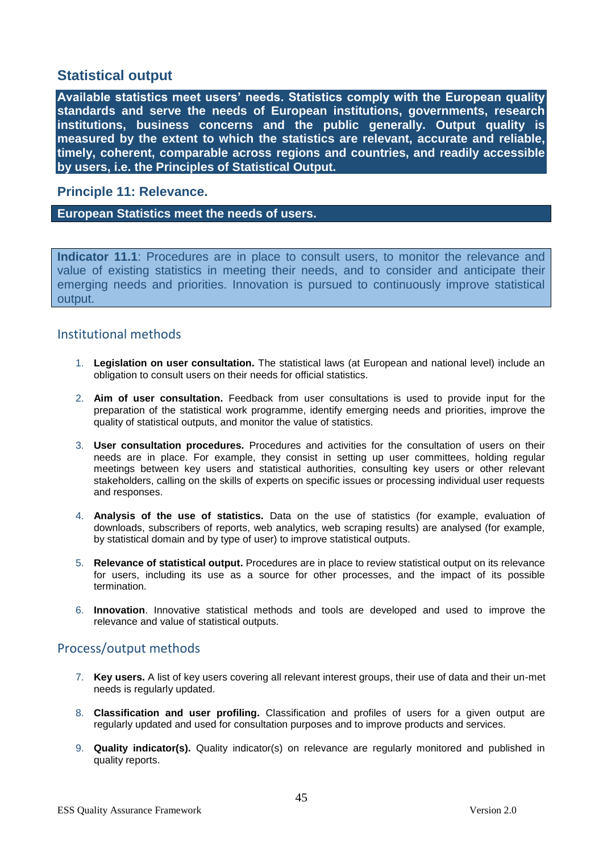# **Statistical output**

**Available statistics meet users' needs. Statistics comply with the European quality standards and serve the needs of European institutions, governments, research institutions, business concerns and the public generally. Output quality is measured by the extent to which the statistics are relevant, accurate and reliable, timely, coherent, comparable across regions and countries, and readily accessible by users, i.e. the Principles of Statistical Output.**

## **Principle 11: Relevance.**

#### **European Statistics meet the needs of users.**

**Indicator 11.1**: Procedures are in place to consult users, to monitor the relevance and value of existing statistics in meeting their needs, and to consider and anticipate their emerging needs and priorities. Innovation is pursued to continuously improve statistical output.

# Institutional methods

- 1. **Legislation on user consultation.** The statistical laws (at European and national level) include an obligation to consult users on their needs for official statistics.
- 2. **Aim of user consultation.** Feedback from user consultations is used to provide input for the preparation of the statistical work programme, identify emerging needs and priorities, improve the quality of statistical outputs, and monitor the value of statistics.
- 3. **User consultation procedures.** Procedures and activities for the consultation of users on their needs are in place. For example, they consist in setting up user committees, holding regular meetings between key users and statistical authorities, consulting key users or other relevant stakeholders, calling on the skills of experts on specific issues or processing individual user requests and responses.
- 4. **Analysis of the use of statistics.** Data on the use of statistics (for example, evaluation of downloads, subscribers of reports, web analytics, web scraping results) are analysed (for example, by statistical domain and by type of user) to improve statistical outputs.
- 5. **Relevance of statistical output.** Procedures are in place to review statistical output on its relevance for users, including its use as a source for other processes, and the impact of its possible termination.
- 6. **Innovation**. Innovative statistical methods and tools are developed and used to improve the relevance and value of statistical outputs.

# Process/output methods

- 7. **Key users.** A list of key users covering all relevant interest groups, their use of data and their un-met needs is regularly updated.
- 8. **Classification and user profiling.** Classification and profiles of users for a given output are regularly updated and used for consultation purposes and to improve products and services.
- 9. **Quality indicator(s).** Quality indicator(s) on relevance are regularly monitored and published in quality reports.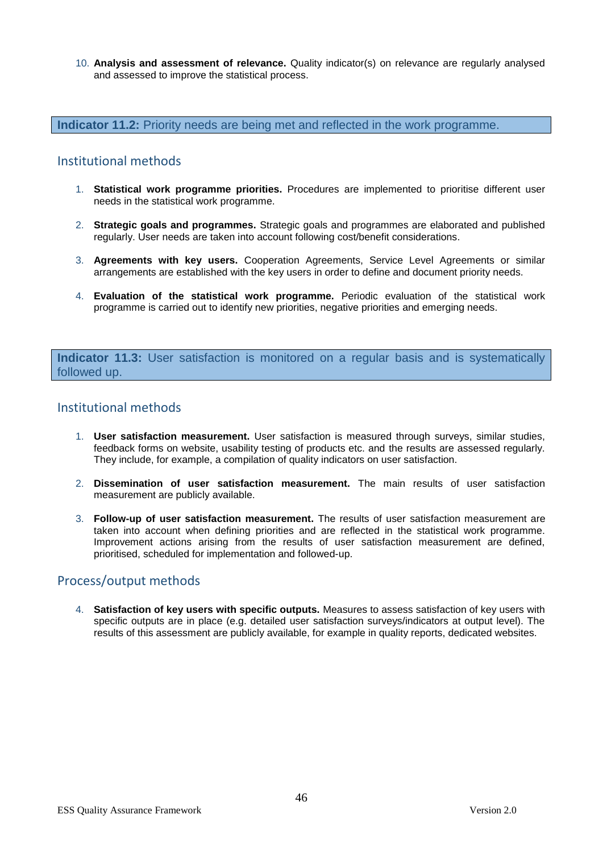10. **Analysis and assessment of relevance.** Quality indicator(s) on relevance are regularly analysed and assessed to improve the statistical process.

**Indicator 11.2:** Priority needs are being met and reflected in the work programme.

#### Institutional methods

- 1. **Statistical work programme priorities.** Procedures are implemented to prioritise different user needs in the statistical work programme.
- 2. **Strategic goals and programmes.** Strategic goals and programmes are elaborated and published regularly. User needs are taken into account following cost/benefit considerations.
- 3. **Agreements with key users.** Cooperation Agreements, Service Level Agreements or similar arrangements are established with the key users in order to define and document priority needs.
- 4. **Evaluation of the statistical work programme.** Periodic evaluation of the statistical work programme is carried out to identify new priorities, negative priorities and emerging needs.

**Indicator 11.3:** User satisfaction is monitored on a regular basis and is systematically followed up.

## Institutional methods

- 1. **User satisfaction measurement.** User satisfaction is measured through surveys, similar studies, feedback forms on website, usability testing of products etc. and the results are assessed regularly. They include, for example, a compilation of quality indicators on user satisfaction.
- 2. **Dissemination of user satisfaction measurement.** The main results of user satisfaction measurement are publicly available.
- 3. **Follow-up of user satisfaction measurement.** The results of user satisfaction measurement are taken into account when defining priorities and are reflected in the statistical work programme. Improvement actions arising from the results of user satisfaction measurement are defined, prioritised, scheduled for implementation and followed-up.

#### Process/output methods

4. **Satisfaction of key users with specific outputs.** Measures to assess satisfaction of key users with specific outputs are in place (e.g. detailed user satisfaction surveys/indicators at output level). The results of this assessment are publicly available, for example in quality reports, dedicated websites.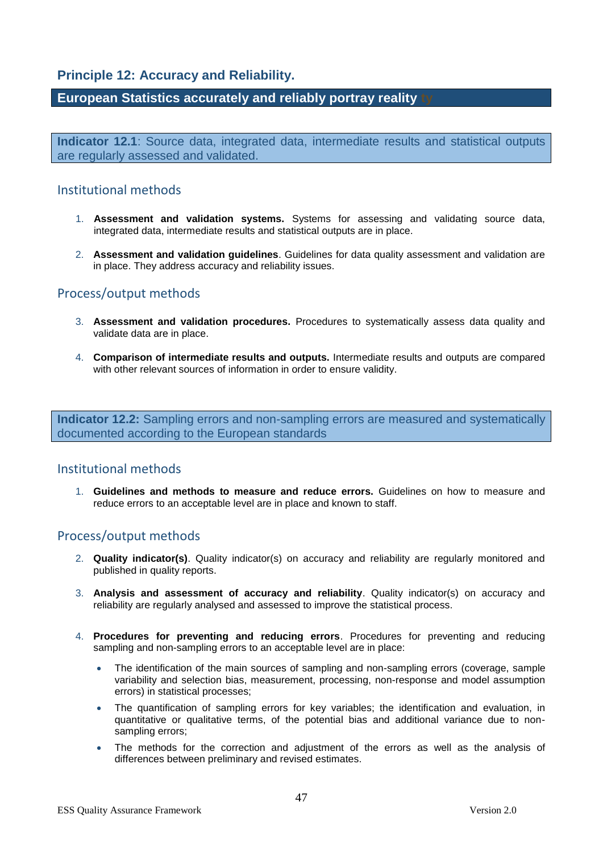# **Principle 12: Accuracy and Reliability.**

# **European Statistics accurately and reliably portray reality ty**

**Indicator 12.1**: Source data, integrated data, intermediate results and statistical outputs are regularly assessed and validated.

## Institutional methods

- 1. **Assessment and validation systems.** Systems for assessing and validating source data, integrated data, intermediate results and statistical outputs are in place.
- 2. **Assessment and validation guidelines**. Guidelines for data quality assessment and validation are in place. They address accuracy and reliability issues.

# Process/output methods

- 3. **Assessment and validation procedures.** Procedures to systematically assess data quality and validate data are in place.
- 4. **Comparison of intermediate results and outputs.** Intermediate results and outputs are compared with other relevant sources of information in order to ensure validity.

**Indicator 12.2:** Sampling errors and non-sampling errors are measured and systematically documented according to the European standards

#### Institutional methods

1. **Guidelines and methods to measure and reduce errors.** Guidelines on how to measure and reduce errors to an acceptable level are in place and known to staff.

# Process/output methods

- 2. **Quality indicator(s)**. Quality indicator(s) on accuracy and reliability are regularly monitored and published in quality reports.
- 3. **Analysis and assessment of accuracy and reliability**. Quality indicator(s) on accuracy and reliability are regularly analysed and assessed to improve the statistical process.
- 4. **Procedures for preventing and reducing errors**. Procedures for preventing and reducing sampling and non-sampling errors to an acceptable level are in place:
	- The identification of the main sources of sampling and non-sampling errors (coverage, sample variability and selection bias, measurement, processing, non-response and model assumption errors) in statistical processes;
	- The quantification of sampling errors for key variables; the identification and evaluation, in quantitative or qualitative terms, of the potential bias and additional variance due to nonsampling errors;
	- The methods for the correction and adjustment of the errors as well as the analysis of differences between preliminary and revised estimates.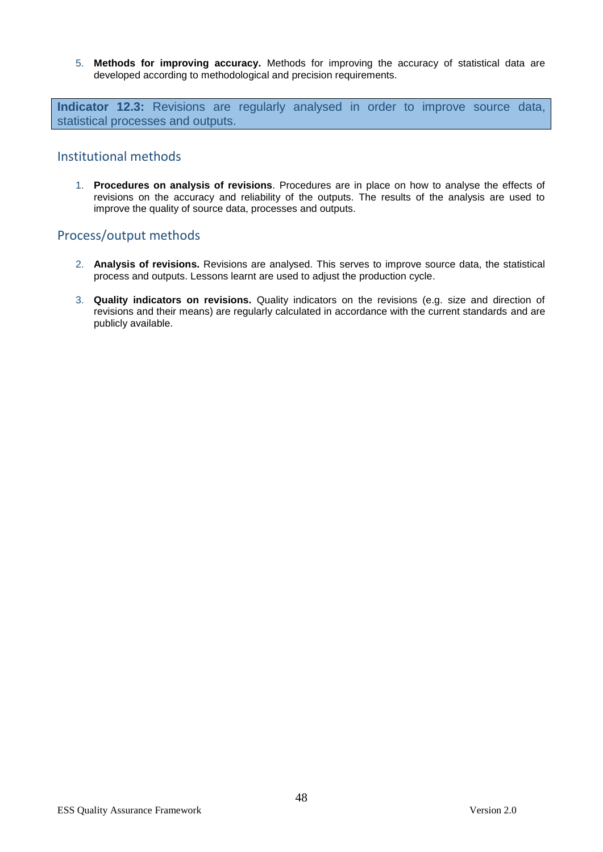5. **Methods for improving accuracy.** Methods for improving the accuracy of statistical data are developed according to methodological and precision requirements.

**Indicator 12.3:** Revisions are regularly analysed in order to improve source data, statistical processes and outputs.

### Institutional methods

1. **Procedures on analysis of revisions**. Procedures are in place on how to analyse the effects of revisions on the accuracy and reliability of the outputs. The results of the analysis are used to improve the quality of source data, processes and outputs.

# Process/output methods

- 2. **Analysis of revisions.** Revisions are analysed. This serves to improve source data, the statistical process and outputs. Lessons learnt are used to adjust the production cycle.
- 3. **Quality indicators on revisions.** Quality indicators on the revisions (e.g. size and direction of revisions and their means) are regularly calculated in accordance with the current standards and are publicly available.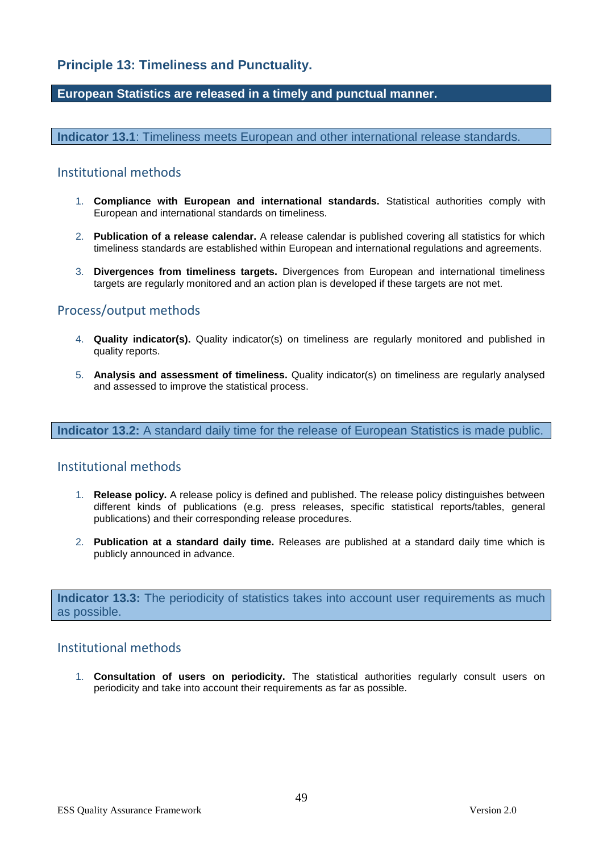# **Principle 13: Timeliness and Punctuality.**

#### **European Statistics are released in a timely and punctual manner.**

**Indicator 13.1**: Timeliness meets European and other international release standards.

### Institutional methods

- 1. **Compliance with European and international standards.** Statistical authorities comply with European and international standards on timeliness.
- 2. **Publication of a release calendar.** A release calendar is published covering all statistics for which timeliness standards are established within European and international regulations and agreements.
- 3. **Divergences from timeliness targets.** Divergences from European and international timeliness targets are regularly monitored and an action plan is developed if these targets are not met.

# Process/output methods

- 4. **Quality indicator(s).** Quality indicator(s) on timeliness are regularly monitored and published in quality reports.
- 5. **Analysis and assessment of timeliness.** Quality indicator(s) on timeliness are regularly analysed and assessed to improve the statistical process.

**Indicator 13.2:** A standard daily time for the release of European Statistics is made public.

#### Institutional methods

- 1. **Release policy.** A release policy is defined and published. The release policy distinguishes between different kinds of publications (e.g. press releases, specific statistical reports/tables, general publications) and their corresponding release procedures.
- 2. **Publication at a standard daily time.** Releases are published at a standard daily time which is publicly announced in advance.

**Indicator 13.3:** The periodicity of statistics takes into account user requirements as much as possible.

#### Institutional methods

1. **Consultation of users on periodicity.** The statistical authorities regularly consult users on periodicity and take into account their requirements as far as possible.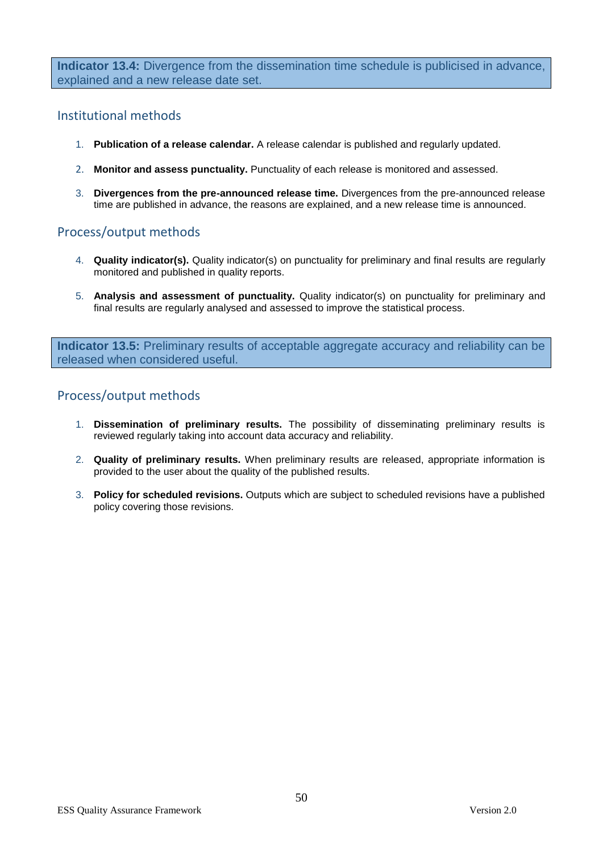**Indicator 13.4:** Divergence from the dissemination time schedule is publicised in advance, explained and a new release date set.

# Institutional methods

- 1. **Publication of a release calendar.** A release calendar is published and regularly updated.
- 2. **Monitor and assess punctuality.** Punctuality of each release is monitored and assessed.
- 3. **Divergences from the pre-announced release time.** Divergences from the pre-announced release time are published in advance, the reasons are explained, and a new release time is announced.

# Process/output methods

- 4. **Quality indicator(s).** Quality indicator(s) on punctuality for preliminary and final results are regularly monitored and published in quality reports.
- 5. **Analysis and assessment of punctuality.** Quality indicator(s) on punctuality for preliminary and final results are regularly analysed and assessed to improve the statistical process.

**Indicator 13.5:** Preliminary results of acceptable aggregate accuracy and reliability can be released when considered useful.

# Process/output methods

- 1. **Dissemination of preliminary results.** The possibility of disseminating preliminary results is reviewed regularly taking into account data accuracy and reliability.
- 2. **Quality of preliminary results.** When preliminary results are released, appropriate information is provided to the user about the quality of the published results.
- 3. **Policy for scheduled revisions.** Outputs which are subject to scheduled revisions have a published policy covering those revisions.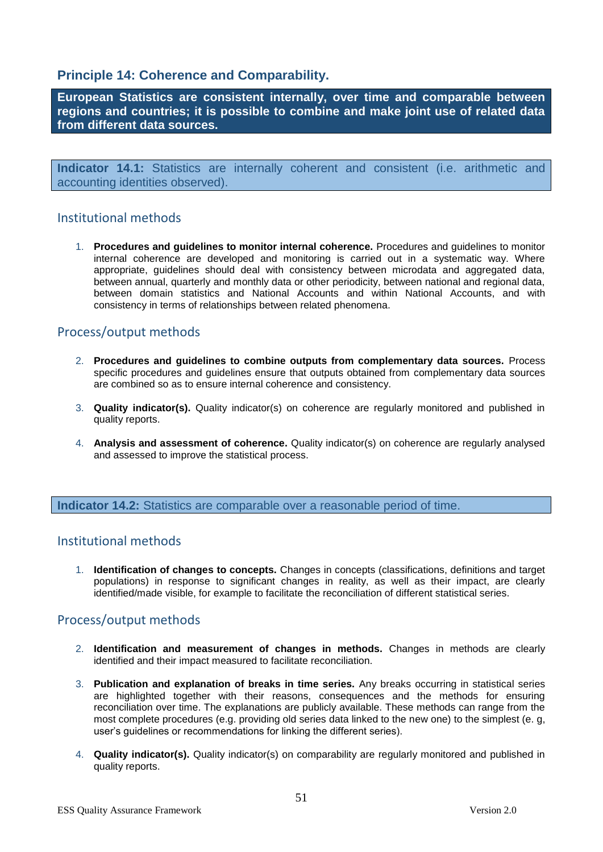# **Principle 14: Coherence and Comparability.**

**European Statistics are consistent internally, over time and comparable between regions and countries; it is possible to combine and make joint use of related data from different data sources.**

**Indicator 14.1:** Statistics are internally coherent and consistent (i.e. arithmetic and accounting identities observed).

# Institutional methods

1. **Procedures and guidelines to monitor internal coherence.** Procedures and guidelines to monitor internal coherence are developed and monitoring is carried out in a systematic way. Where appropriate, guidelines should deal with consistency between microdata and aggregated data, between annual, quarterly and monthly data or other periodicity, between national and regional data, between domain statistics and National Accounts and within National Accounts, and with consistency in terms of relationships between related phenomena.

# Process/output methods

- 2. **Procedures and guidelines to combine outputs from complementary data sources.** Process specific procedures and guidelines ensure that outputs obtained from complementary data sources are combined so as to ensure internal coherence and consistency.
- 3. **Quality indicator(s).** Quality indicator(s) on coherence are regularly monitored and published in quality reports.
- 4. **Analysis and assessment of coherence.** Quality indicator(s) on coherence are regularly analysed and assessed to improve the statistical process.

**Indicator 14.2:** Statistics are comparable over a reasonable period of time.

# Institutional methods

1. **Identification of changes to concepts.** Changes in concepts (classifications, definitions and target populations) in response to significant changes in reality, as well as their impact, are clearly identified/made visible, for example to facilitate the reconciliation of different statistical series.

# Process/output methods

- 2. **Identification and measurement of changes in methods.** Changes in methods are clearly identified and their impact measured to facilitate reconciliation.
- 3. **Publication and explanation of breaks in time series.** Any breaks occurring in statistical series are highlighted together with their reasons, consequences and the methods for ensuring reconciliation over time. The explanations are publicly available. These methods can range from the most complete procedures (e.g. providing old series data linked to the new one) to the simplest (e. g, user's guidelines or recommendations for linking the different series).
- 4. **Quality indicator(s).** Quality indicator(s) on comparability are regularly monitored and published in quality reports.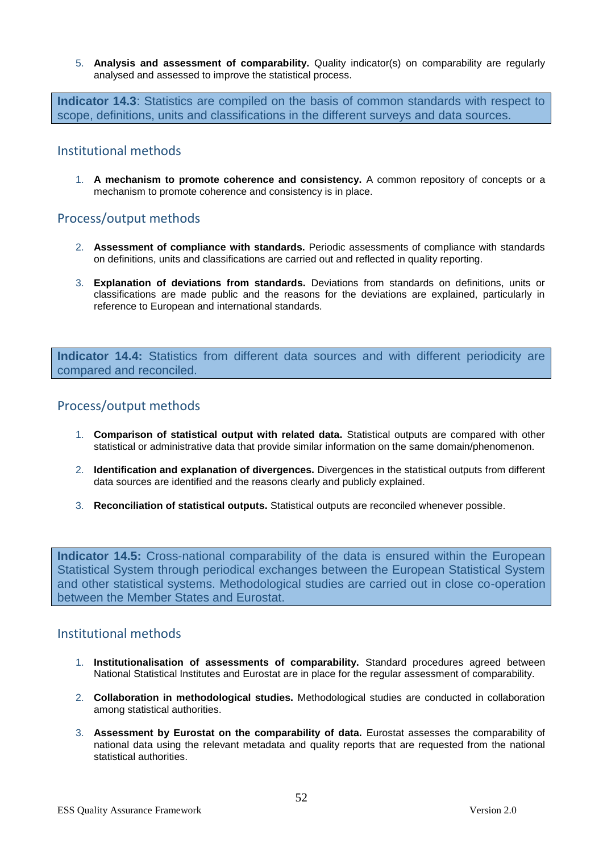5. **Analysis and assessment of comparability.** Quality indicator(s) on comparability are regularly analysed and assessed to improve the statistical process.

**Indicator 14.3**: Statistics are compiled on the basis of common standards with respect to scope, definitions, units and classifications in the different surveys and data sources.

# Institutional methods

1. **A mechanism to promote coherence and consistency.** A common repository of concepts or a mechanism to promote coherence and consistency is in place.

# Process/output methods

- 2. **Assessment of compliance with standards.** Periodic assessments of compliance with standards on definitions, units and classifications are carried out and reflected in quality reporting.
- 3. **Explanation of deviations from standards.** Deviations from standards on definitions, units or classifications are made public and the reasons for the deviations are explained, particularly in reference to European and international standards.

**Indicator 14.4:** Statistics from different data sources and with different periodicity are compared and reconciled.

# Process/output methods

- 1. **Comparison of statistical output with related data.** Statistical outputs are compared with other statistical or administrative data that provide similar information on the same domain/phenomenon.
- 2. **Identification and explanation of divergences.** Divergences in the statistical outputs from different data sources are identified and the reasons clearly and publicly explained.
- 3. **Reconciliation of statistical outputs.** Statistical outputs are reconciled whenever possible.

**Indicator 14.5:** Cross-national comparability of the data is ensured within the European Statistical System through periodical exchanges between the European Statistical System and other statistical systems. Methodological studies are carried out in close co-operation between the Member States and Eurostat.

- 1. **Institutionalisation of assessments of comparability.** Standard procedures agreed between National Statistical Institutes and Eurostat are in place for the regular assessment of comparability.
- 2. **Collaboration in methodological studies.** Methodological studies are conducted in collaboration among statistical authorities.
- 3. **Assessment by Eurostat on the comparability of data.** Eurostat assesses the comparability of national data using the relevant metadata and quality reports that are requested from the national statistical authorities.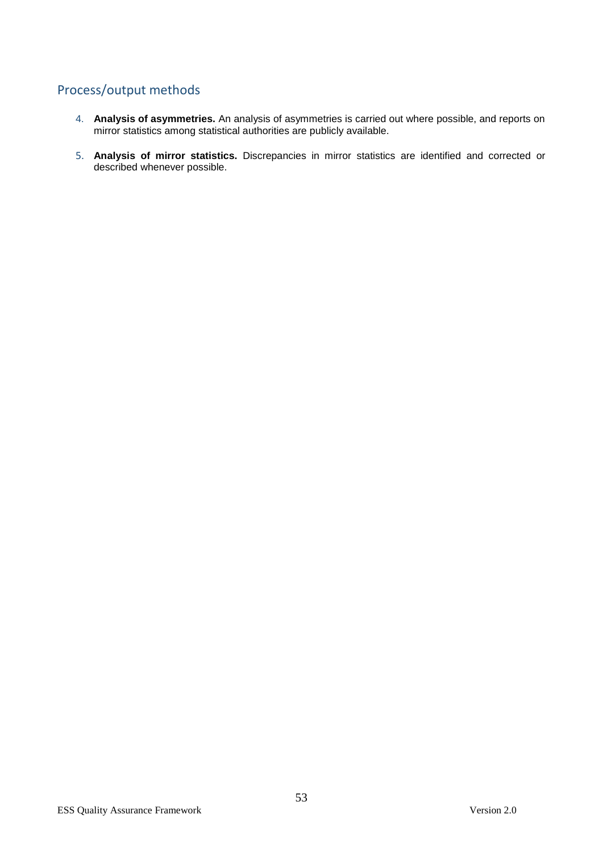# Process/output methods

- 4. **Analysis of asymmetries.** An analysis of asymmetries is carried out where possible, and reports on mirror statistics among statistical authorities are publicly available.
- 5. **Analysis of mirror statistics.** Discrepancies in mirror statistics are identified and corrected or described whenever possible.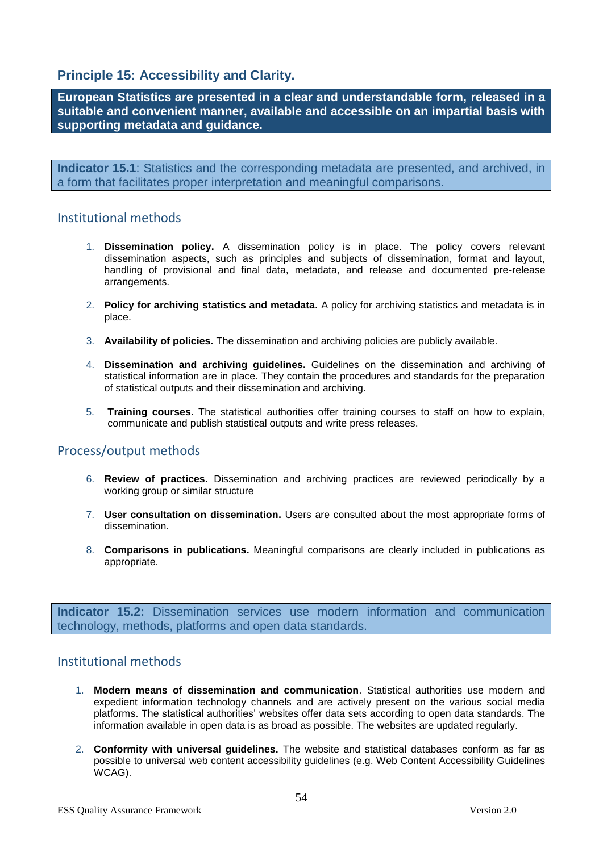# **Principle 15: Accessibility and Clarity.**

**European Statistics are presented in a clear and understandable form, released in a suitable and convenient manner, available and accessible on an impartial basis with supporting metadata and guidance.**

**Indicator 15.1**: Statistics and the corresponding metadata are presented, and archived, in a form that facilitates proper interpretation and meaningful comparisons.

## Institutional methods

- 1. **Dissemination policy.** A dissemination policy is in place. The policy covers relevant dissemination aspects, such as principles and subjects of dissemination, format and layout, handling of provisional and final data, metadata, and release and documented pre-release arrangements.
- 2. **Policy for archiving statistics and metadata.** A policy for archiving statistics and metadata is in place.
- 3. **Availability of policies.** The dissemination and archiving policies are publicly available.
- 4. **Dissemination and archiving guidelines.** Guidelines on the dissemination and archiving of statistical information are in place. They contain the procedures and standards for the preparation of statistical outputs and their dissemination and archiving.
- 5. **Training courses.** The statistical authorities offer training courses to staff on how to explain, communicate and publish statistical outputs and write press releases.

# Process/output methods

- 6. **Review of practices.** Dissemination and archiving practices are reviewed periodically by a working group or similar structure
- 7. **User consultation on dissemination.** Users are consulted about the most appropriate forms of dissemination.
- 8. **Comparisons in publications.** Meaningful comparisons are clearly included in publications as appropriate.

**Indicator 15.2:** Dissemination services use modern information and communication technology, methods, platforms and open data standards.

- 1. **Modern means of dissemination and communication**. Statistical authorities use modern and expedient information technology channels and are actively present on the various social media platforms. The statistical authorities' websites offer data sets according to open data standards. The information available in open data is as broad as possible. The websites are updated regularly.
- 2. **Conformity with universal guidelines.** The website and statistical databases conform as far as possible to universal web content accessibility guidelines (e.g. Web Content Accessibility Guidelines WCAG).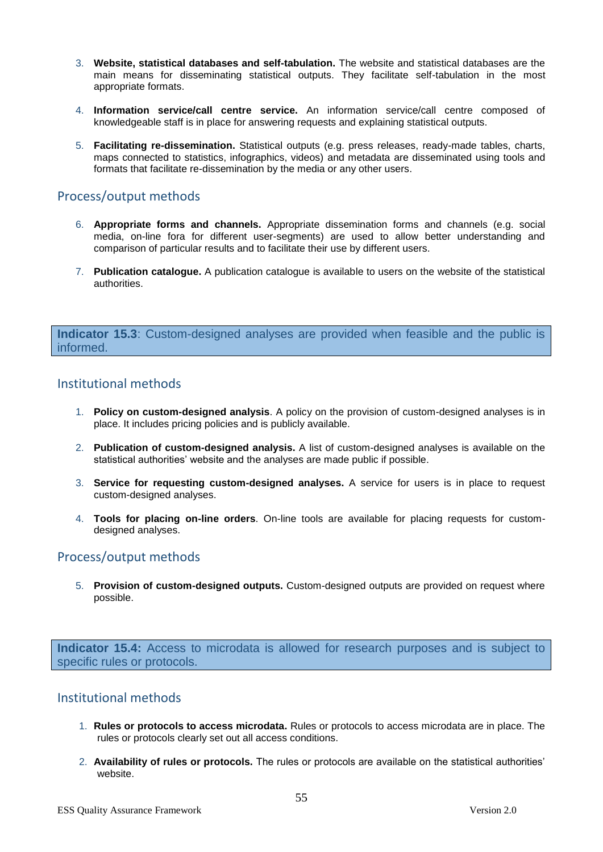- 3. **Website, statistical databases and self-tabulation.** The website and statistical databases are the main means for disseminating statistical outputs. They facilitate self-tabulation in the most appropriate formats.
- 4. **Information service/call centre service.** An information service/call centre composed of knowledgeable staff is in place for answering requests and explaining statistical outputs.
- 5. **Facilitating re-dissemination.** Statistical outputs (e.g. press releases, ready-made tables, charts, maps connected to statistics, infographics, videos) and metadata are disseminated using tools and formats that facilitate re-dissemination by the media or any other users.

# Process/output methods

- 6. **Appropriate forms and channels.** Appropriate dissemination forms and channels (e.g. social media, on-line fora for different user-segments) are used to allow better understanding and comparison of particular results and to facilitate their use by different users.
- 7. **Publication catalogue.** A publication catalogue is available to users on the website of the statistical authorities.

**Indicator 15.3**: Custom-designed analyses are provided when feasible and the public is informed.

# Institutional methods

- 1. **Policy on custom-designed analysis**. A policy on the provision of custom-designed analyses is in place. It includes pricing policies and is publicly available.
- 2. **Publication of custom-designed analysis.** A list of custom-designed analyses is available on the statistical authorities' website and the analyses are made public if possible.
- 3. **Service for requesting custom-designed analyses.** A service for users is in place to request custom-designed analyses.
- 4. **Tools for placing on-line orders**. On-line tools are available for placing requests for customdesigned analyses.

# Process/output methods

5. **Provision of custom-designed outputs.** Custom-designed outputs are provided on request where possible.

**Indicator 15.4:** Access to microdata is allowed for research purposes and is subject to specific rules or protocols.

- 1. **Rules or protocols to access microdata.** Rules or protocols to access microdata are in place. The rules or protocols clearly set out all access conditions.
- 2. **Availability of rules or protocols.** The rules or protocols are available on the statistical authorities' website.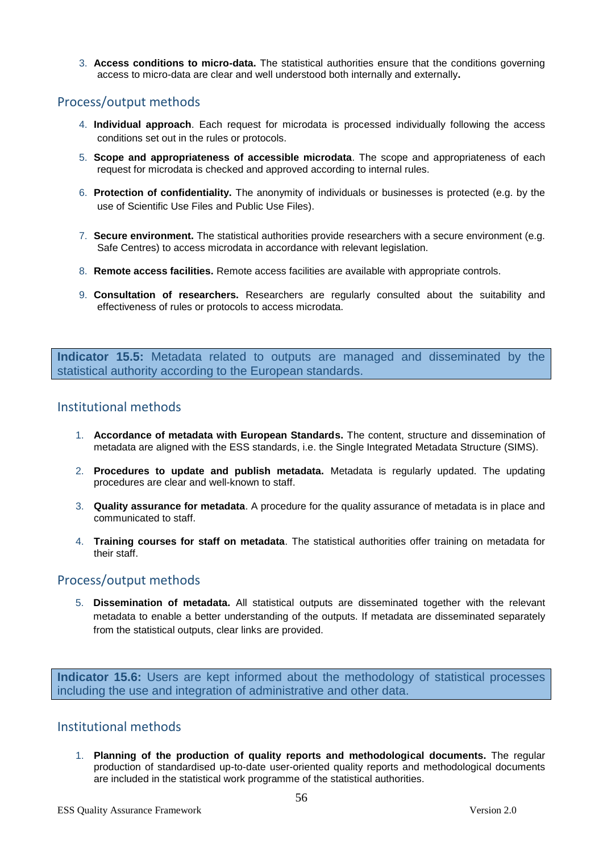3. **Access conditions to micro-data.** The statistical authorities ensure that the conditions governing access to micro-data are clear and well understood both internally and externally**.**

# Process/output methods

- 4. **Individual approach**. Each request for microdata is processed individually following the access conditions set out in the rules or protocols.
- 5. **Scope and appropriateness of accessible microdata**. The scope and appropriateness of each request for microdata is checked and approved according to internal rules.
- 6. **Protection of confidentiality.** The anonymity of individuals or businesses is protected (e.g. by the use of Scientific Use Files and Public Use Files).
- 7. **Secure environment.** The statistical authorities provide researchers with a secure environment (e.g. Safe Centres) to access microdata in accordance with relevant legislation.
- 8. **Remote access facilities.** Remote access facilities are available with appropriate controls.
- 9. **Consultation of researchers.** Researchers are regularly consulted about the suitability and effectiveness of rules or protocols to access microdata.

**Indicator 15.5:** Metadata related to outputs are managed and disseminated by the statistical authority according to the European standards.

# Institutional methods

- 1. **Accordance of metadata with European Standards.** The content, structure and dissemination of metadata are aligned with the ESS standards, i.e. the Single Integrated Metadata Structure (SIMS).
- 2. **Procedures to update and publish metadata.** Metadata is regularly updated. The updating procedures are clear and well-known to staff.
- 3. **Quality assurance for metadata**. A procedure for the quality assurance of metadata is in place and communicated to staff.
- 4. **Training courses for staff on metadata**. The statistical authorities offer training on metadata for their staff.

# Process/output methods

5. **Dissemination of metadata.** All statistical outputs are disseminated together with the relevant metadata to enable a better understanding of the outputs. If metadata are disseminated separately from the statistical outputs, clear links are provided.

**Indicator 15.6:** Users are kept informed about the methodology of statistical processes including the use and integration of administrative and other data.

# Institutional methods

1. **Planning of the production of quality reports and methodological documents.** The regular production of standardised up-to-date user-oriented quality reports and methodological documents are included in the statistical work programme of the statistical authorities.